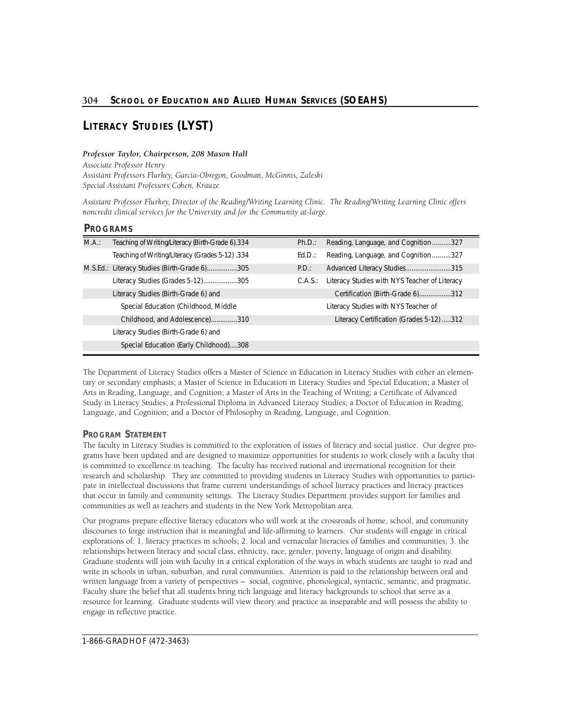# **LITERACY STUDIES (LYST)**

## Professor Taylor, Chairperson, 208 Mason Hall

 *Special Assistant Professors Cohen, Krauze Associate Professor Henry Assistant Professors Flurkey, Garc i a - O b regon, Goodman, McGinnis, Zaleski* 

noncredit clinical services for the University and for the Community at-large. Assistant Professor Flurkey, Director of the Reading/Writing Learning Clinic. The Reading/Writing Learning Clinic offers

# **PROGRAMS**

| Teaching of Writing/Literacy (Birth-Grade 6).334 | Ph.D.: | Reading, Language, and Cognition327                   |
|--------------------------------------------------|--------|-------------------------------------------------------|
| Teaching of Writing/Literacy (Grades 5-12) .334  | Ed.D.: | Reading, Language, and Cognition327                   |
| M.S.Ed.: Literacy Studies (Birth-Grade 6)305     | P.D.:  | Advanced Literacy Studies315                          |
| Literacy Studies (Grades 5-12)305                |        | C.A.S.: Literacy Studies with NYS Teacher of Literacy |
| Literacy Studies (Birth-Grade 6) and             |        | Certification (Birth-Grade 6)312                      |
| Special Education (Childhood, Middle)            |        | Literacy Studies with NYS Teacher of                  |
| Childhood, and Adolescence)310                   |        | Literacy Certification (Grades 5-12) 312              |
| Literacy Studies (Birth-Grade 6) and             |        |                                                       |
| Special Education (Early Childhood)308           |        |                                                       |
|                                                  |        |                                                       |

The Department of Literacy Studies offers a Master of Science in Education in Literacy Studies with either an elementary or secondary emphasis; a Master of Science in Education in Literacy Studies and Special Education; a Master of Arts in Reading, Language, and Cognition; a Master of Arts in the Teaching of Writing; a Certificate of Advanced Study in Literacy Studies; a Professional Diploma in Advanced Literacy Studies; a Doctor of Education in Reading, Language, and Cognition; and a Doctor of Philosophy in Reading, Language, and Cognition.

# **PROGRAM STATEMENT**

The faculty in Literacy Studies is committed to the exploration of issues of literacy and social justice. Our degree programs have been updated and are designed to maximize opportunities for students to work closely with a faculty that is committed to excellence in teaching. The faculty has received national and international recognition for their research and scholarship. They are committed to providing students in Literacy Studies with opportunities to participate in intellectual discussions that frame current understandings of school literacy practices and literacy practices that occur in family and community settings. The Literacy Studies Department provides support for families and communities as well as teachers and students in the New York Metropolitan area.

Our programs prepare effective literacy educators who will work at the crossroads of home, school, and community discourses to forge instruction that is meaningful and life-affirming to learners. Our students will engage in critical explorations of: 1. literacy practices in schools; 2. local and vernacular literacies of families and communities; 3. the relationships between literacy and social class, ethnicity, race, gender, poverty, language of origin and disability. Graduate students will join with faculty in a critical exploration of the ways in which students are taught to read and write in schools in urban, suburban, and rural communities. Attention is paid to the relationship between oral and written language from a variety of perspectives – social, cognitive, phonological, syntactic, semantic, and pragmatic. Faculty share the belief that all students bring rich language and literacy backgrounds to school that serve as a resource for learning. Graduate students will view theory and practice as inseparable and will possess the ability to engage in reflective practice.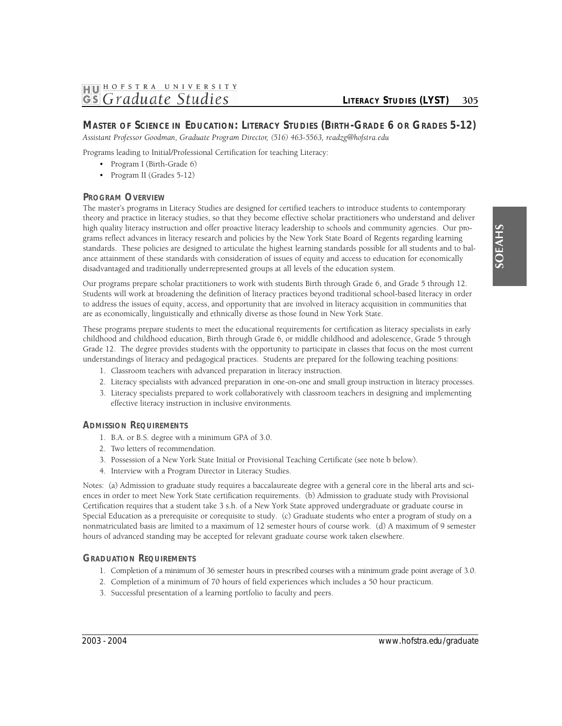# **1HJ01 HOFSTRA UNIVER <sup>S</sup> ITY GS** Graduate Studies *CITERACY STUDIES* (LYST) 305

# **MASTER OF SCIENCE IN EDUCATION: LITERACY STUDIES (BIRTH-GRADE 6 OR GRADES 5-12)**

 *Assistant Professor Goodman, Graduate Program Dire c t o r, (516) 463-5563, readzg@hofstra.edu* 

Programs leading to Initial/Professional Certification for teaching Literacy:

- Program I (Birth-Grade 6)
- Program II (Grades 5-12)

# **PROGRAM OVERVIEW**

The master's programs in Literacy Studies are designed for certified teachers to introduce students to contemporary theory and practice in literacy studies, so that they become effective scholar practitioners who understand and deliver high quality literacy instruction and offer proactive literacy leadership to schools and community agencies. Our programs reflect advances in literacy research and policies by the New York State Board of Regents regarding learning standards. These policies are designed to articulate the highest learning standards possible for all students and to balance attainment of these standards with consideration of issues of equity and access to education for economically disadvantaged and traditionally underrepresented groups at all levels of the education system.

Our programs prepare scholar practitioners to work with students Birth through Grade 6, and Grade 5 through 12. Students will work at broadening the definition of literacy practices beyond traditional school-based literacy in order to address the issues of equity, access, and opportunity that are involved in literacy acquisition in communities that are as economically, linguistically and ethnically diverse as those found in New York State.

These programs prepare students to meet the educational requirements for certification as literacy specialists in early childhood and childhood education, Birth through Grade 6, or middle childhood and adolescence, Grade 5 through Grade 12. The degree provides students with the opportunity to participate in classes that focus on the most current understandings of literacy and pedagogical practices. Students are prepared for the following teaching positions:

- 1. Classroom teachers with advanced preparation in literacy instruction.
- 2. Literacy specialists with advanced preparation in one-on-one and small group instruction in literacy processes.
- 3. Literacy specialists prepared to work collaboratively with classroom teachers in designing and implementing effective literacy instruction in inclusive environments.

#### **ADMISSION REQUIREMENTS**

- 1. B.A. or B.S. degree with a minimum GPA of 3.0.
- 2. Two letters of recommendation.
- 3. Possession of a New York State Initial or Provisional Teaching Certificate (see note b below).
- 4. Interview with a Program Director in Literacy Studies.

Notes: (a) Admission to graduate study requires a baccalaureate degree with a general core in the liberal arts and sciences in order to meet New York State certification requirements. (b) Admission to graduate study with Provisional Certification requires that a student take 3 s.h. of a New York State approved undergraduate or graduate course in Special Education as a prerequisite or corequisite to study. (c) Graduate students who enter a program of study on a nonmatriculated basis are limited to a maximum of 12 semester hours of course work. (d) A maximum of 9 semester hours of advanced standing may be accepted for relevant graduate course work taken elsewhere.

# **GRADUATION REQUIREMENTS**

- 1. Completion of a minimum of 36 semester hours in prescribed courses with a minimum grade point average of 3.0.
- 2. Completion of a minimum of 70 hours of field experiences which includes a 50 hour practicum.
- 3. Successful presentation of a learning portfolio to faculty and peers.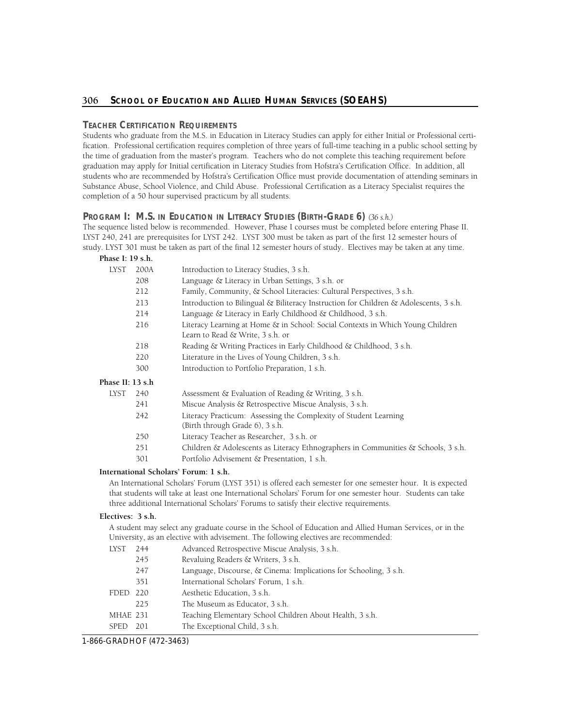## **TEACHER CERTIFICATION REQUIREMENTS**

Students who graduate from the M.S. in Education in Literacy Studies can apply for either Initial or Professional certification. Professional certification requires completion of three years of full-time teaching in a public school setting by the time of graduation from the master's program. Teachers who do not complete this teaching requirement before graduation may apply for Initial certification in Literacy Studies from Hofstra's Certification Office. In addition, all students who are recommended by Hofstra's Certification Office must provide documentation of attending seminars in Substance Abuse, School Violence, and Child Abuse. Professional Certification as a Literacy Specialist requires the completion of a 50 hour supervised practicum by all students.

# **Program I: M.S. in Education in Literacy Studies (Birth-Grade 6)** (36 s.h.)

The sequence listed below is recommended. However, Phase I courses must be completed before entering Phase II. LYST 240, 241 are prerequisites for LYST 242. LYST 300 must be taken as part of the first 12 semester hours of study. LYST 301 must be taken as part of the final 12 semester hours of study. Electives may be taken at any time.

| Phase I: 19 s.h. |      |                                                                                                                    |
|------------------|------|--------------------------------------------------------------------------------------------------------------------|
| <b>LYST</b>      | 200A | Introduction to Literacy Studies, 3 s.h.                                                                           |
|                  | 208  | Language & Literacy in Urban Settings, 3 s.h. or                                                                   |
|                  | 212  | Family, Community, & School Literacies: Cultural Perspectives, 3 s.h.                                              |
|                  | 213  | Introduction to Bilingual & Biliteracy Instruction for Children & Adolescents, 3 s.h.                              |
|                  | 214  | Language & Literacy in Early Childhood & Childhood, 3 s.h.                                                         |
|                  | 216  | Literacy Learning at Home & in School: Social Contexts in Which Young Children<br>Learn to Read & Write, 3 s.h. or |
|                  | 218  | Reading & Writing Practices in Early Childhood & Childhood, 3 s.h.                                                 |
|                  | 220  | Literature in the Lives of Young Children, 3 s.h.                                                                  |
|                  | 300  | Introduction to Portfolio Preparation, 1 s.h.                                                                      |
| Phase II: 13 s.h |      |                                                                                                                    |
| LYST             | 240  | Assessment & Evaluation of Reading & Writing, 3 s.h.                                                               |
|                  | 241  | Miscue Analysis & Retrospective Miscue Analysis, 3 s.h.                                                            |
|                  | 242  | Literacy Practicum: Assessing the Complexity of Student Learning<br>(Birth through Grade 6), 3 s.h.                |
|                  | 250  | Literacy Teacher as Researcher, 3 s.h. or                                                                          |
|                  | 251  | Children & Adolescents as Literacy Ethnographers in Communities & Schools, 3 s.h.                                  |
|                  | 301  | Portfolio Advisement & Presentation, 1 s.h.                                                                        |
|                  |      |                                                                                                                    |

#### **International Scholars' Forum: 1 s.h.**

An International Scholars' Forum (LYST 351) is offered each semester for one semester hour. It is expected that students will take at least one International Scholars' Forum for one semester hour. Students can take three additional International Scholars' Forums to satisfy their elective requirements.

#### **Electives: 3 s.h.**

A student may select any graduate course in the School of Education and Allied Human Services, or in the University, as an elective with advisement. The following electives are recommended:

| <b>LYST</b> | 244   | Advanced Retrospective Miscue Analysis, 3 s.h.                    |
|-------------|-------|-------------------------------------------------------------------|
|             | 245   | Revaluing Readers & Writers, 3 s.h.                               |
|             | 247   | Language, Discourse, & Cinema: Implications for Schooling, 3 s.h. |
|             | 351   | International Scholars' Forum, 1 s.h.                             |
| FDED        | - 220 | Aesthetic Education, 3 s.h.                                       |
|             | 225   | The Museum as Educator, 3 s.h.                                    |
| MHAE 231    |       | Teaching Elementary School Children About Health, 3 s.h.          |
| <b>SPED</b> | 201   | The Exceptional Child, 3 s.h.                                     |

1-866-GRADHOF (472-3463)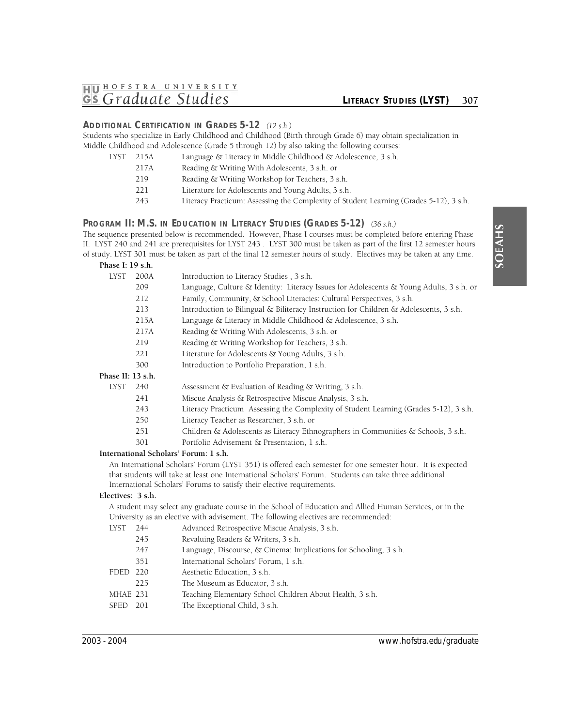## **ADDITIONAL CERTIFICATION IN GRADES 5-12** *(12 s.h.)*

Students who specialize in Early Childhood and Childhood (Birth through Grade 6) may obtain specialization in Middle Childhood and Adolescence (Grade 5 through 12) by also taking the following courses:

| LYST | 215A | Language & Literacy in Middle Childhood & Adolescence, 3 s.h.                          |
|------|------|----------------------------------------------------------------------------------------|
|      | 217A | Reading & Writing With Adolescents, 3 s.h. or                                          |
|      | 219  | Reading & Writing Workshop for Teachers, 3 s.h.                                        |
|      | 221  | Literature for Adolescents and Young Adults, 3 s.h.                                    |
|      | 243  | Literacy Practicum: Assessing the Complexity of Student Learning (Grades 5-12), 3 s.h. |
|      |      |                                                                                        |

#### **PROGRAM II: M.S. IN EDUCATION IN LITERACY STUDIES (GRADES 5-12)** *(36 s.h.)*

The sequence presented below is recommended. However, Phase I courses must be completed before entering Phase II. LYST 240 and 241 are prerequisites for LYST 243 . LYST 300 must be taken as part of the first 12 semester hours of study. LYST 301 must be taken as part of the final 12 semester hours of study. Electives may be taken at any time. **Phase I: 19 s.h.** 

| <b>LYST</b>       | 200A | Introduction to Literacy Studies, 3 s.h.                                                |
|-------------------|------|-----------------------------------------------------------------------------------------|
|                   | 209  | Language, Culture & Identity: Literacy Issues for Adolescents & Young Adults, 3 s.h. or |
|                   | 212  | Family, Community, & School Literacies: Cultural Perspectives, 3 s.h.                   |
|                   | 213  | Introduction to Bilingual & Biliteracy Instruction for Children & Adolescents, 3 s.h.   |
|                   | 215A | Language & Literacy in Middle Childhood & Adolescence, 3 s.h.                           |
|                   | 217A | Reading & Writing With Adolescents, 3 s.h. or                                           |
|                   | 219  | Reading & Writing Workshop for Teachers, 3 s.h.                                         |
|                   | 221  | Literature for Adolescents & Young Adults, 3 s.h.                                       |
|                   | 300  | Introduction to Portfolio Preparation, 1 s.h.                                           |
| Phase II: 13 s.h. |      |                                                                                         |
| LYST              | 240  | Assessment & Evaluation of Reading & Writing, 3 s.h.                                    |
|                   | 241  | Miscue Analysis & Retrospective Miscue Analysis, 3 s.h.                                 |
|                   | 243  | Literacy Practicum Assessing the Complexity of Student Learning (Grades 5-12), 3 s.h.   |
|                   | 250  | Literacy Teacher as Researcher, 3 s.h. or                                               |
|                   | 251  | Children & Adolescents as Literacy Ethnographers in Communities & Schools, 3 s.h.       |
|                   | 301  | Portfolio Advisement & Presentation, 1 s.h.                                             |
|                   |      |                                                                                         |

## **International Scholars' Forum: 1 s.h.**

An International Scholars' Forum (LYST 351) is offered each semester for one semester hour. It is expected that students will take at least one International Scholars' Forum. Students can take three additional International Scholars' Forums to satisfy their elective requirements.

#### **Electives: 3 s.h.**

A student may select any graduate course in the School of Education and Allied Human Services, or in the University as an elective with advisement. The following electives are recommended:

| LYST     | 244  | Advanced Retrospective Miscue Analysis, 3 s.h.                    |
|----------|------|-------------------------------------------------------------------|
|          | 245  | Revaluing Readers & Writers, 3 s.h.                               |
|          | 247  | Language, Discourse, & Cinema: Implications for Schooling, 3 s.h. |
|          | 351  | International Scholars' Forum, 1 s.h.                             |
| FDED 220 |      | Aesthetic Education, 3 s.h.                                       |
|          | 225  | The Museum as Educator, 3 s.h.                                    |
| MHAE 231 |      | Teaching Elementary School Children About Health, 3 s.h.          |
| SPED     | -201 | The Exceptional Child, 3 s.h.                                     |
|          |      |                                                                   |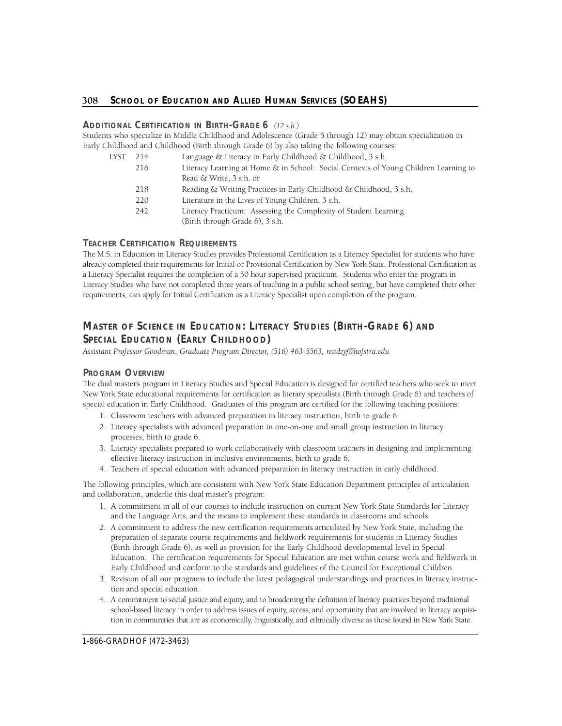# 308 School of Education and Allied Human Services (SOEAHS)

## **ADDITIONAL CERTIFICATION IN BIRTH-GRADE 6** *(12 s.h.)*

Students who specialize in Middle Childhood and Adolescence (Grade 5 through 12) may obtain specialization in Early Childhood and Childhood (Birth through Grade 6) by also taking the following courses:

| LYST | 214 | Language & Literacy in Early Childhood & Childhood, 3 s.h.                                                      |
|------|-----|-----------------------------------------------------------------------------------------------------------------|
|      | 216 | Literacy Learning at Home & in School: Social Contexts of Young Children Learning to<br>Read & Write, 3 s.h. or |
|      | 218 | Reading & Writing Practices in Early Childhood & Childhood, 3 s.h.                                              |
|      | 220 | Literature in the Lives of Young Children, 3 s.h.                                                               |
|      | 242 | Literacy Practicum: Assessing the Complexity of Student Learning<br>(Birth through Grade 6), 3 s.h.             |

# **TEACHER CERTIFICATION REQUIREMENTS**

 The M.S. in Education in Literacy Studies provides Professional Certification as a Literacy Specialist for students who have already completed their requirements for Initial or Provisional Certification by New York State. Professional Certification as a Literacy Specialist requires the completion of a 50 hour supervised practicum. Students who enter the program in Literacy Studies who have not completed three years of teaching in a public school setting, but have completed their other requirements, can apply for Initial Certification as a Literacy Specialist upon completion of the program.

# **MASTER OF SCIENCE IN EDUCATION: LITERACY STUDIES (BIRTH-GRADE 6) AND** SPECIAL EDUCATION (EARLY CHILDHOOD)

Assistant Professor Goodman, Graduate Program Director, (516) 463-5563, readzg@hofstra.edu

# **PROGRAM OVERVIEW**

 The dual master's program in Literacy Studies and Special Education is designed for certified teachers who seek to meet New York State educational requirements for certification as literary specialists (Birth through Grade 6) and teachers of special education in Early Childhood. Graduates of this program are certified for the following teaching positions:

- 1. Classroom teachers with advanced preparation in literacy instruction, birth to grade 6.
- 2. Literacy specialists with advanced preparation in one-on-one and small group instruction in literacy processes, birth to grade 6.
- 3. Literacy specialists prepared to work collaboratively with classroom teachers in designing and implementing effective literacy instruction in inclusive environments, birth to grade 6.
- 4. Teachers of special education with advanced preparation in literacy instruction in early childhood.

The following principles, which are consistent with New York State Education Department principles of articulation and collaboration, underlie this dual master's program:

- 1. A commitment in all of our courses to include instruction on current New York State Standards for Literacy and the Language Arts, and the means to implement these standards in classrooms and schools.
- 2. A commitment to address the new certification requirements articulated by New York State, including the preparation of separate course requirements and fieldwork requirements for students in Literacy Studies (Birth through Grade 6), as well as provision for the Early Childhood developmental level in Special Education. The certification requirements for Special Education are met within course work and fieldwork in Early Childhood and conform to the standards and guidelines of the Council for Exceptional Children.
- 3. Revision of all our programs to include the latest pedagogical understandings and practices in literacy instruction and special education.
- 4. A commitment to social justice and equity, and to broadening the definition of literacy practices beyond traditional school-based literacy in order to address issues of equity, access, and opportunity that are involved in literacy acquisition in communities that are as economically, linguistically, and ethnically diverse as those found in New York State.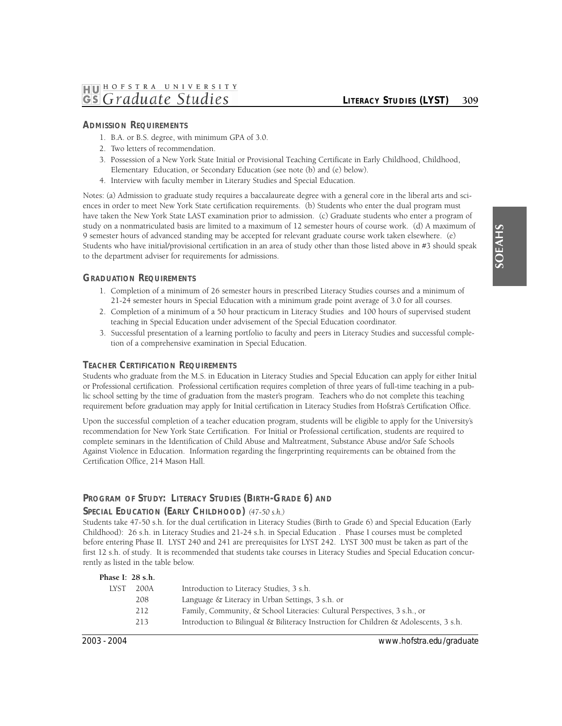# **ADMISSION REQUIREMENTS**

- 1. B.A. or B.S. degree, with minimum GPA of 3.0.
- 2. Two letters of recommendation.
- 3. Possession of a New York State Initial or Provisional Teaching Certificate in Early Childhood, Childhood, Elementary Education, or Secondary Education (see note (b) and (e) below).
- 4. Interview with faculty member in Literary Studies and Special Education.

Notes: (a) Admission to graduate study requires a baccalaureate degree with a general core in the liberal arts and sciences in order to meet New York State certification requirements. (b) Students who enter the dual program must have taken the New York State LAST examination prior to admission. (c) Graduate students who enter a program of study on a nonmatriculated basis are limited to a maximum of 12 semester hours of course work. (d) A maximum of 9 semester hours of advanced standing may be accepted for relevant graduate course work taken elsewhere. (e) Students who have initial/provisional certification in an area of study other than those listed above in #3 should speak to the department adviser for requirements for admissions.

#### **GRADUATION REQUIREMENTS**

- 1. Completion of a minimum of 26 semester hours in prescribed Literacy Studies courses and a minimum of 21-24 semester hours in Special Education with a minimum grade point average of 3.0 for all courses.
- 2. Completion of a minimum of a 50 hour practicum in Literacy Studies and 100 hours of supervised student teaching in Special Education under advisement of the Special Education coordinator.
- 3. Successful presentation of a learning portfolio to faculty and peers in Literacy Studies and successful completion of a comprehensive examination in Special Education.

#### **TEACHER CERTIFICATION REQUIREMENTS**

 lic school setting by the time of graduation from the master's program. Teachers who do not complete this teaching Students who graduate from the M.S. in Education in Literacy Studies and Special Education can apply for either Initial or Professional certification. Professional certification requires completion of three years of full-time teaching in a pubrequirement before graduation may apply for Initial certification in Literacy Studies from Hofstra's Certification Office.

Upon the successful completion of a teacher education program, students will be eligible to apply for the University's recommendation for New York State Certification. For Initial or Professional certification, students are required to complete seminars in the Identification of Child Abuse and Maltreatment, Substance Abuse and/or Safe Schools Against Violence in Education. Information regarding the fingerprinting requirements can be obtained from the Certification Office, 214 Mason Hall.

# **PROGRAM OF STUDY: LITERACY STUDIES (BIRTH-GRADE 6) AND**

#### **SPECIAL EDUCATION (EARLY CHILDHOOD)** *(47-50 s.h.)*

Students take 47-50 s.h. for the dual certification in Literacy Studies (Birth to Grade 6) and Special Education (Early Childhood): 26 s.h. in Literacy Studies and 21-24 s.h. in Special Education . Phase I courses must be completed before entering Phase II. LYST 240 and 241 are prerequisites for LYST 242. LYST 300 must be taken as part of the first 12 s.h. of study. It is recommended that students take courses in Literacy Studies and Special Education concurrently as listed in the table below.

| Phase I: 28 s.h. |      |                                                                                       |
|------------------|------|---------------------------------------------------------------------------------------|
| <b>LYST</b>      | 200A | Introduction to Literacy Studies, 3 s.h.                                              |
|                  | 208  | Language & Literacy in Urban Settings, 3 s.h. or                                      |
|                  | 212  | Family, Community, & School Literacies: Cultural Perspectives, 3 s.h., or             |
|                  | 213  | Introduction to Bilingual & Biliteracy Instruction for Children & Adolescents, 3 s.h. |
|                  |      |                                                                                       |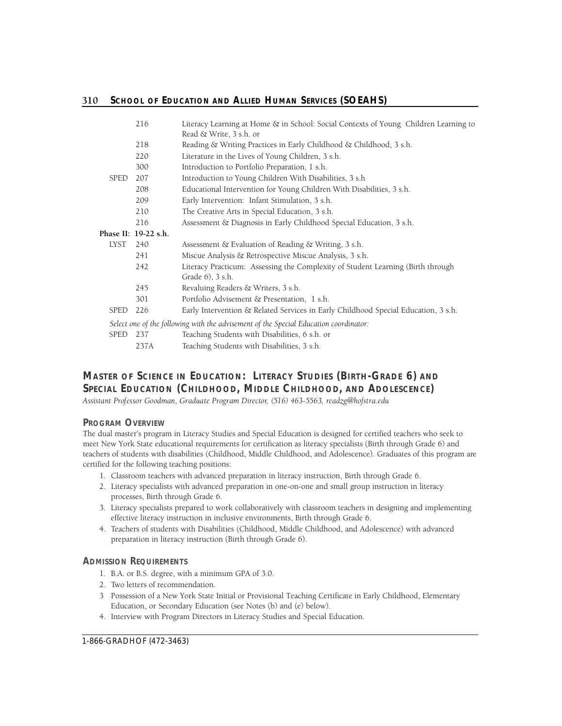|             | 216                  | Literacy Learning at Home & in School: Social Contexts of Young Children Learning to<br>Read & Write, 3 s.h. or |
|-------------|----------------------|-----------------------------------------------------------------------------------------------------------------|
|             | 218                  | Reading & Writing Practices in Early Childhood & Childhood, 3 s.h.                                              |
|             | 220                  | Literature in the Lives of Young Children, 3 s.h.                                                               |
|             | 300                  | Introduction to Portfolio Preparation, 1 s.h.                                                                   |
| <b>SPED</b> | 207                  | Introduction to Young Children With Disabilities, 3 s.h.                                                        |
|             | 208                  | Educational Intervention for Young Children With Disabilities, 3 s.h.                                           |
|             | 209                  | Early Intervention: Infant Stimulation, 3 s.h.                                                                  |
|             | 210                  | The Creative Arts in Special Education, 3 s.h.                                                                  |
|             | 216                  | Assessment & Diagnosis in Early Childhood Special Education, 3 s.h.                                             |
|             | Phase II: 19-22 s.h. |                                                                                                                 |
| LYST        | 240                  | Assessment & Evaluation of Reading & Writing, 3 s.h.                                                            |
|             | 241                  | Miscue Analysis & Retrospective Miscue Analysis, 3 s.h.                                                         |
|             | 242                  | Literacy Practicum: Assessing the Complexity of Student Learning (Birth through                                 |
|             |                      | Grade 6), 3 s.h.                                                                                                |
|             | 245                  | Revaluing Readers & Writers, 3 s.h.                                                                             |
|             | 301                  | Portfolio Advisement & Presentation, 1 s.h.                                                                     |
| <b>SPED</b> | 226                  | Early Intervention & Related Services in Early Childhood Special Education, 3 s.h.                              |
|             |                      | Select one of the following with the advisement of the Special Education coordinator:                           |
| <b>SPED</b> | 237                  | Teaching Students with Disabilities, 6 s.h. or                                                                  |
|             | 237A                 | Teaching Students with Disabilities, 3 s.h.                                                                     |

# **MASTER OF SCIENCE IN EDUCATION: LITERACY STUDIES (BIRTH-GRADE 6) AND** SPECIAL EDUCATION (CHILDHOOD, MIDDLE CHILDHOOD, AND ADOLESCENCE)

 *Assistant Professor Goodman, Graduate Program Dire c t o r, (516) 463-5563, readzg@hofstra.edu* 

# **PROGRAM OVERVIEW**

The dual master's program in Literacy Studies and Special Education is designed for certified teachers who seek to meet New York State educational requirements for certification as literacy specialists (Birth through Grade 6) and teachers of students with disabilities (Childhood, Middle Childhood, and Adolescence). Graduates of this program are certified for the following teaching positions:

- 1. Classroom teachers with advanced preparation in literacy instruction, Birth through Grade 6.
- 2. Literacy specialists with advanced preparation in one-on-one and small group instruction in literacy processes, Birth through Grade 6.
- 3. Literacy specialists prepared to work collaboratively with classroom teachers in designing and implementing effective literacy instruction in inclusive environments, Birth through Grade 6.
- 4. Teachers of students with Disabilities (Childhood, Middle Childhood, and Adolescence) with advanced preparation in literacy instruction (Birth through Grade 6).

# **ADMISSION REQUIREMENTS**

- 1. B.A. or B.S. degree, with a minimum GPA of 3.0.
- 2. Two letters of recommendation.
- 3 Possession of a New York State Initial or Provisional Teaching Certificate in Early Childhood, Elementary Education, or Secondary Education (see Notes (b) and (e) below).
- 4. Interview with Program Directors in Literacy Studies and Special Education.

1-866-GRADHOF (472-3463)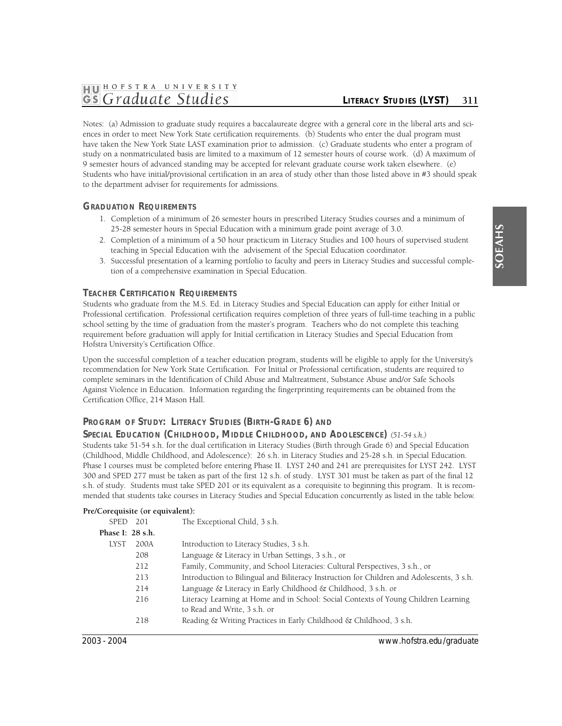# **1HJ01 HOFSTRA UNIVER <sup>S</sup> ITY**  *GS Graduate Studies LITERACY STUDIES (LYST)* 311

Notes: (a) Admission to graduate study requires a baccalaureate degree with a general core in the liberal arts and sciences in order to meet New York State certification requirements. (b) Students who enter the dual program must have taken the New York State LAST examination prior to admission. (c) Graduate students who enter a program of study on a nonmatriculated basis are limited to a maximum of 12 semester hours of course work. (d) A maximum of 9 semester hours of advanced standing may be accepted for relevant graduate course work taken elsewhere. (e) Students who have initial/provisional certification in an area of study other than those listed above in #3 should speak to the department adviser for requirements for admissions.

# **GRADUATION REQUIREMENTS**

- 1. Completion of a minimum of 26 semester hours in prescribed Literacy Studies courses and a minimum of 25-28 semester hours in Special Education with a minimum grade point average of 3.0.
- 2. Completion of a minimum of a 50 hour practicum in Literacy Studies and 100 hours of supervised student teaching in Special Education with the advisement of the Special Education coordinator.
- 3. Successful presentation of a learning portfolio to faculty and peers in Literacy Studies and successful completion of a comprehensive examination in Special Education.

# **TEACHER CERTIFICATION REQUIREMENTS**

Students who graduate from the M.S. Ed. in Literacy Studies and Special Education can apply for either Initial or Professional certification. Professional certification requires completion of three years of full-time teaching in a public school setting by the time of graduation from the master's program. Teachers who do not complete this teaching requirement before graduation will apply for Initial certification in Literacy Studies and Special Education from Hofstra University's Certification Office.

Upon the successful completion of a teacher education program, students will be eligible to apply for the University's recommendation for New York State Certification. For Initial or Professional certification, students are required to complete seminars in the Identification of Child Abuse and Maltreatment, Substance Abuse and/or Safe Schools Against Violence in Education. Information regarding the fingerprinting requirements can be obtained from the Certification Office, 214 Mason Hall.

# **PROGRAM OF STUDY: LITERACY STUDIES (BIRTH-GRADE 6) AND**

#### **SPECIAL EDUCATION (CHILDHOOD, MIDDLE CHILDHOOD, AND ADOLESCENCE)** *(51-54 s.h.)*

Students take 51-54 s.h. for the dual certification in Literacy Studies (Birth through Grade 6) and Special Education (Childhood, Middle Childhood, and Adolescence): 26 s.h. in Literacy Studies and 25-28 s.h. in Special Education. Phase I courses must be completed before entering Phase II. LYST 240 and 241 are prerequisites for LYST 242. LYST 300 and SPED 277 must be taken as part of the first 12 s.h. of study. LYST 301 must be taken as part of the final 12 s.h. of study. Students must take SPED 201 or its equivalent as a corequisite to beginning this program. It is recommended that students take courses in Literacy Studies and Special Education concurrently as listed in the table below.

#### **Pre/Corequisite (or equivalent):**

| SPED 201         |      | The Exceptional Child, 3 s.h.                                                             |
|------------------|------|-------------------------------------------------------------------------------------------|
| Phase I: 28 s.h. |      |                                                                                           |
| LYST             | 200A | Introduction to Literacy Studies, 3 s.h.                                                  |
|                  | 208  | Language & Literacy in Urban Settings, 3 s.h., or                                         |
|                  | 212  | Family, Community, and School Literacies: Cultural Perspectives, 3 s.h., or               |
|                  | 213  | Introduction to Bilingual and Biliteracy Instruction for Children and Adolescents, 3 s.h. |
|                  | 214  | Language & Literacy in Early Childhood & Childhood, 3 s.h. or                             |
|                  | 216  | Literacy Learning at Home and in School: Social Contexts of Young Children Learning       |
|                  |      | to Read and Write, 3 s.h. or                                                              |
|                  | 218  | Reading & Writing Practices in Early Childhood & Childhood, 3 s.h.                        |
|                  |      |                                                                                           |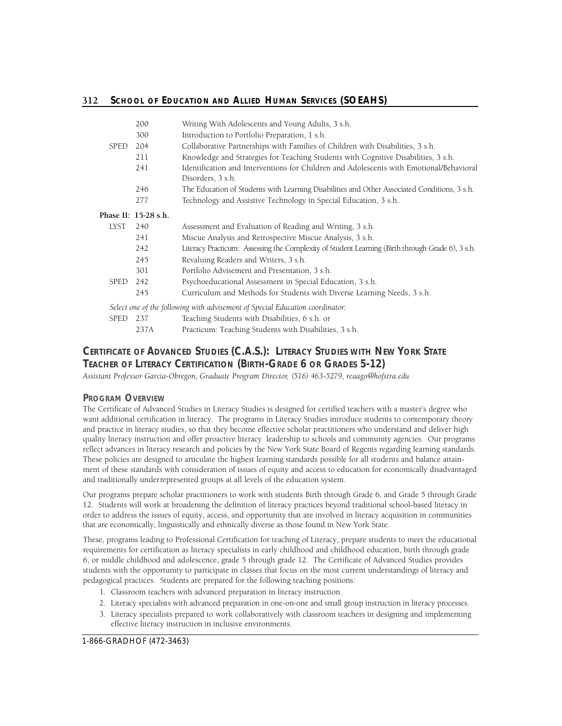|             | 200                  | Writing With Adolescents and Young Adults, 3 s.h.                                                            |
|-------------|----------------------|--------------------------------------------------------------------------------------------------------------|
|             | 300                  | Introduction to Portfolio Preparation, 1 s.h.                                                                |
| <b>SPED</b> | 204                  | Collaborative Partnerships with Families of Children with Disabilities, 3 s.h.                               |
|             | 211                  | Knowledge and Strategies for Teaching Students with Cognitive Disabilities, 3 s.h.                           |
|             | 241                  | Identification and Interventions for Children and Adolescents with Emotional/Behavioral<br>Disorders, 3 s.h. |
|             | 246                  | The Education of Students with Learning Disabilities and Other Associated Conditions, 3 s.h.                 |
|             | 277                  | Technology and Assistive Technology in Special Education, 3 s.h.                                             |
|             | Phase II: 15-28 s.h. |                                                                                                              |
| LYST        | 240                  | Assessment and Evaluation of Reading and Writing, 3 s.h.                                                     |
|             | 241                  | Miscue Analysis and Retrospective Miscue Analysis, 3 s.h.                                                    |
|             | 242                  | Literacy Practicum: Assessing the Complexity of Student Learning (Birth through Grade 6), 3 s.h.             |
|             | 245                  | Revaluing Readers and Writers, 3 s.h.                                                                        |
|             | 301                  | Portfolio Advisement and Presentation, 3 s.h.                                                                |
| <b>SPED</b> | 242                  | Psychoeducational Assessment in Special Education, 3 s.h.                                                    |
|             | 245                  | Curriculum and Methods for Students with Diverse Learning Needs, 3 s.h.                                      |
|             |                      | Select one of the following with advisement of Special Education coordinator:                                |
| <b>SPED</b> | 237                  | Teaching Students with Disabilities, 6 s.h. or                                                               |
|             | 237A                 | Practicum: Teaching Students with Disabilities, 3 s.h.                                                       |

# **CERTIFICATE OF ADVANCED STUDIES (C.A.S.): LITERACY STUDIES WITH NEW YORK STATE TEACHER OF LITERACY CERTIFICATION (BIRTH-GRADE 6 OR GRADES 5-12)**

Assistant Professor Garcia-Obregon, Graduate Program Director, (516) 463-5279, reaago@hofstra.edu

# **PROGRAM OVERVIEW**

The Certificate of Advanced Studies in Literacy Studies is designed for certified teachers with a master's degree who want additional certification in literacy. The programs in Literacy Studies introduce students to contemporary theory and practice in literacy studies, so that they become effective scholar practitioners who understand and deliver high quality literacy instruction and offer proactive literacy leadership to schools and community agencies. Our programs reflect advances in literacy research and policies by the New York State Board of Regents regarding learning standards. These policies are designed to articulate the highest learning standards possible for all students and balance attainment of these standards with consideration of issues of equity and access to education for economically disadvantaged and traditionally underrepresented groups at all levels of the education system.

Our programs prepare scholar practitioners to work with students Birth through Grade 6, and Grade 5 through Grade 12. Students will work at broadening the definition of literacy practices beyond traditional school-based literacy in order to address the issues of equity, access, and opportunity that are involved in literacy acquisition in communities that are economically, linguistically and ethnically diverse as those found in New York State.

These, programs leading to Professional Certification for teaching of Literacy, prepare students to meet the educational requirements for certification as literacy specialists in early childhood and childhood education, birth through grade 6, or middle childhood and adolescence, grade 5 through grade 12. The Certificate of Advanced Studies provides students with the opportunity to participate in classes that focus on the most current understandings of literacy and pedagogical practices. Students are prepared for the following teaching positions:

- 1. Classroom teachers with advanced preparation in literacy instruction.
- 2. Literacy specialists with advanced preparation in one-on-one and small group instruction in literacy processes.
- 3. Literacy specialists prepared to work collaboratively with classroom teachers in designing and implementing effective literacy instruction in inclusive environments.

1-866-GRADHOF (472-3463)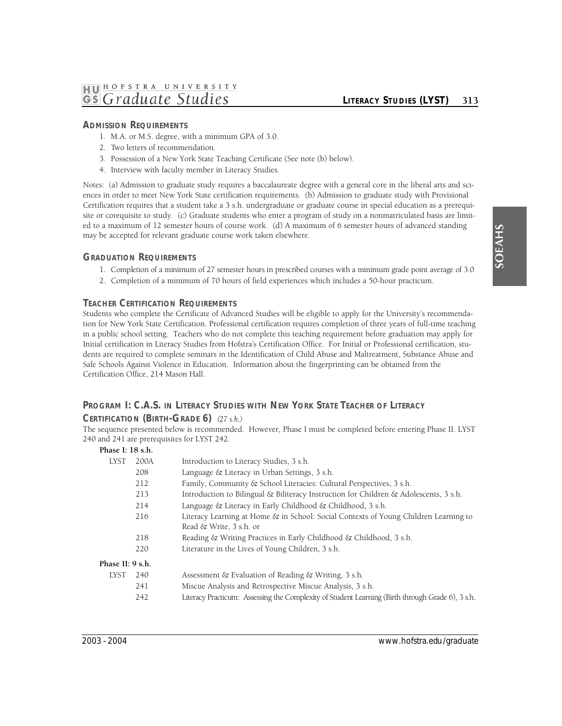## **ADMISSION REQUIREMENTS**

- 1. M.A. or M.S. degree, with a minimum GPA of 3.0.
- 2. Two letters of recommendation.
- 3. Possession of a New York State Teaching Certificate (See note (b) below).
- 4. Interview with faculty member in Literacy Studies.

Notes: (a) Admission to graduate study requires a baccalaureate degree with a general core in the liberal arts and sciences in order to meet New York State certification requirements. (b) Admission to graduate study with Provisional Certification requires that a student take a 3 s.h. undergraduate or graduate course in special education as a prerequisite or corequisite to study. (c) Graduate students who enter a program of study on a nonmatriculated basis are limited to a maximum of 12 semester hours of course work. (d) A maximum of 6 semester hours of advanced standing may be accepted for relevant graduate course work taken elsewhere.

#### **GRADUATION REQUIREMENTS**

- 1. Completion of a minimum of 27 semester hours in prescribed courses with a minimum grade point average of 3.0
- 2. Completion of a minimum of 70 hours of field experiences which includes a 50-hour practicum.

#### **TEACHER CERTIFICATION REQUIREMENTS**

Students who complete the Certificate of Advanced Studies will be eligible to apply for the University's recommendation for New York State Certification. Professional certification requires completion of three years of full-time teaching in a public school setting. Teachers who do not complete this teaching requirement before graduation may apply for Initial certification in Literacy Studies from Hofstra's Certification Office. For Initial or Professional certification, students are required to complete seminars in the Identification of Child Abuse and Maltreatment, Substance Abuse and Safe Schools Against Violence in Education. Information about the fingerprinting can be obtained from the Certification Office, 214 Mason Hall.

# **PROGRAM I: C.A.S. IN LITERACY STUDIES WITH NEW YORK STATE TEACHER OF LITERACY CERTIFICATION (BIRTH-GRADE 6)** *(27 s.h.)*

The sequence presented below is recommended. However, Phase I must be completed before entering Phase II. LYST 240 and 241 are prerequisites for LYST 242.

# 242 Literacy Practicum: Assessing the Complexity of Student Learning (Birth through Grade 6), 3 s.h. **Phase I: 18 s.h.**  LYST 200A Introduction to Literacy Studies, 3 s.h. 208 Language & Literacy in Urban Settings, 3 s.h. 212 Family, Community & School Literacies: Cultural Perspectives, 3 s.h. 213 Introduction to Bilingual & Biliteracy Instruction for Children & Adolescents, 3 s.h. 214 Language & Literacy in Early Childhood & Childhood, 3 s.h. 216 Literacy Learning at Home & in School: Social Contexts of Young Children Learning to Read & Write, 3 s.h. or 218 Reading & Writing Practices in Early Childhood & Childhood, 3 s.h. 220 Literature in the Lives of Young Children, 3 s.h. **Phase II: 9 s.h.**  LYST 240 Assessment & Evaluation of Reading & Writing, 3 s.h. 241 Miscue Analysis and Retrospective Miscue Analysis, 3 s.h.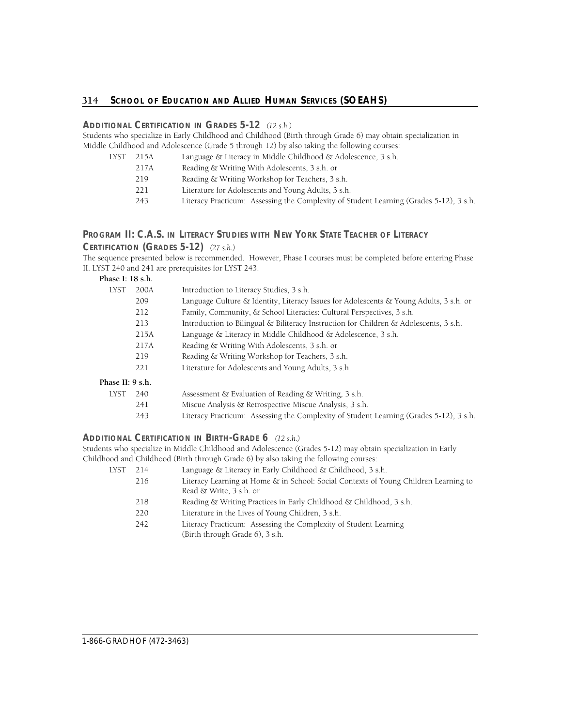# **ADDITIONAL CERTIFICATION IN GRADES 5-12** *(12 s.h.)*

Students who specialize in Early Childhood and Childhood (Birth through Grade 6) may obtain specialization in Middle Childhood and Adolescence (Grade 5 through 12) by also taking the following courses:

| LYST | 215A | Language & Literacy in Middle Childhood & Adolescence, 3 s.h.                          |
|------|------|----------------------------------------------------------------------------------------|
|      | 217A | Reading & Writing With Adolescents, 3 s.h. or                                          |
|      | 219  | Reading & Writing Workshop for Teachers, 3 s.h.                                        |
|      | 221  | Literature for Adolescents and Young Adults, 3 s.h.                                    |
|      | 243  | Literacy Practicum: Assessing the Complexity of Student Learning (Grades 5-12), 3 s.h. |
|      |      |                                                                                        |

# **PROGRAM II: C.A.S. IN LITERACY STUDIES WITH NEW YORK STATE TEACHER OF LITERACY CERTIFICATION (GRADES 5-12)** *(27 s.h.)*

The sequence presented below is recommended. However, Phase I courses must be completed before entering Phase II. LYST 240 and 241 are prerequisites for LYST 243.

#### **Phase I: 18 s.h.**

| <b>LYST</b>      | 200A                                                                         | Introduction to Literacy Studies, 3 s.h.                                                     |  |
|------------------|------------------------------------------------------------------------------|----------------------------------------------------------------------------------------------|--|
|                  | 209                                                                          | Language Culture $\&$ Identity, Literacy Issues for Adolescents $\&$ Young Adults, 3 s.h. or |  |
|                  | Family, Community, & School Literacies: Cultural Perspectives, 3 s.h.<br>212 |                                                                                              |  |
|                  | 213                                                                          | Introduction to Bilingual $\&$ Biliteracy Instruction for Children $\&$ Adolescents, 3 s.h.  |  |
|                  | 215A                                                                         | Language & Literacy in Middle Childhood & Adolescence, 3 s.h.                                |  |
|                  | 217A                                                                         | Reading & Writing With Adolescents, 3 s.h. or                                                |  |
|                  | 219                                                                          | Reading & Writing Workshop for Teachers, 3 s.h.                                              |  |
|                  | 221                                                                          | Literature for Adolescents and Young Adults, 3 s.h.                                          |  |
| Phase II: 9 s.h. |                                                                              |                                                                                              |  |
| LYST             | 240                                                                          | Assessment & Evaluation of Reading & Writing, 3 s.h.                                         |  |
|                  | 241                                                                          | Miscue Analysis & Retrospective Miscue Analysis, 3 s.h.                                      |  |
|                  | 243                                                                          | Literacy Practicum: Assessing the Complexity of Student Learning (Grades 5-12), 3 s.h.       |  |

# **ADDITIONAL CERTIFICATION IN BIRTH-GRADE 6** *(12 s.h.)*

Students who specialize in Middle Childhood and Adolescence (Grades 5-12) may obtain specialization in Early Childhood and Childhood (Birth through Grade 6) by also taking the following courses:

| LYST | Language & Literacy in Early Childhood & Childhood, 3 s.h.<br>214 |                                                                                                     |
|------|-------------------------------------------------------------------|-----------------------------------------------------------------------------------------------------|
|      | 216                                                               | Literacy Learning at Home & in School: Social Contexts of Young Children Learning to                |
|      |                                                                   | Read & Write, 3 s.h. or                                                                             |
|      | 218                                                               | Reading & Writing Practices in Early Childhood & Childhood, 3 s.h.                                  |
|      | 220                                                               | Literature in the Lives of Young Children, 3 s.h.                                                   |
|      | 242                                                               | Literacy Practicum: Assessing the Complexity of Student Learning<br>(Birth through Grade 6), 3 s.h. |
|      |                                                                   |                                                                                                     |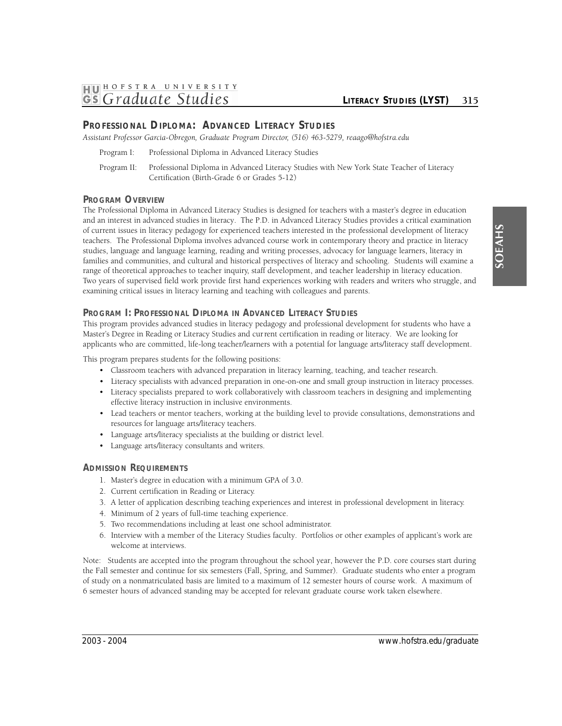# **PROFESSIONAL DIPLOMA: ADVANCED LITERACY STUDIES**

Assistant Professor Garcia-Obregon, Graduate Program Director, (516) 463-5279, reaago@hofstra.edu

- Program I: Professional Diploma in Advanced Literacy Studies
- Program II: Professional Diploma in Advanced Literacy Studies with New York State Teacher of Literacy Certification (Birth-Grade 6 or Grades 5-12)

# **PROGRAM OVERVIEW**

The Professional Diploma in Advanced Literacy Studies is designed for teachers with a master's degree in education and an interest in advanced studies in literacy. The P.D. in Advanced Literacy Studies provides a critical examination of current issues in literacy pedagogy for experienced teachers interested in the professional development of literacy teachers. The Professional Diploma involves advanced course work in contemporary theory and practice in literacy studies, language and language learning, reading and writing processes, advocacy for language learners, literacy in families and communities, and cultural and historical perspectives of literacy and schooling. Students will examine a range of theoretical approaches to teacher inquiry, staff development, and teacher leadership in literacy education. Two years of supervised field work provide first hand experiences working with readers and writers who struggle, and examining critical issues in literacy learning and teaching with colleagues and parents.

# **PROGRAM I: PROFESSIONAL DIPLOMA IN ADVANCED LITERACY STUDIES**

This program provides advanced studies in literacy pedagogy and professional development for students who have a Master's Degree in Reading or Literacy Studies and current certification in reading or literacy. We are looking for applicants who are committed, life-long teacher/learners with a potential for language arts/literacy staff development.

This program prepares students for the following positions:

- Classroom teachers with advanced preparation in literacy learning, teaching, and teacher research.
- Literacy specialists with advanced preparation in one-on-one and small group instruction in literacy processes.
- Literacy specialists prepared to work collaboratively with classroom teachers in designing and implementing effective literacy instruction in inclusive environments.
- Lead teachers or mentor teachers, working at the building level to provide consultations, demonstrations and resources for language arts/literacy teachers.
- Language arts/literacy specialists at the building or district level.
- Language arts/literacy consultants and writers.

# **ADMISSION REQUIREMENTS**

- 1. Master's degree in education with a minimum GPA of 3.0.
- 2. Current certification in Reading or Literacy.
- 3. A letter of application describing teaching experiences and interest in professional development in literacy.
- 4. Minimum of 2 years of full-time teaching experience.
- 5. Two recommendations including at least one school administrator.
- 6. Interview with a member of the Literacy Studies faculty. Portfolios or other examples of applicant's work are welcome at interviews.

Note: Students are accepted into the program throughout the school year, however the P.D. core courses start during the Fall semester and continue for six semesters (Fall, Spring, and Summer). Graduate students who enter a program of study on a nonmatriculated basis are limited to a maximum of 12 semester hours of course work. A maximum of 6 semester hours of advanced standing may be accepted for relevant graduate course work taken elsewhere.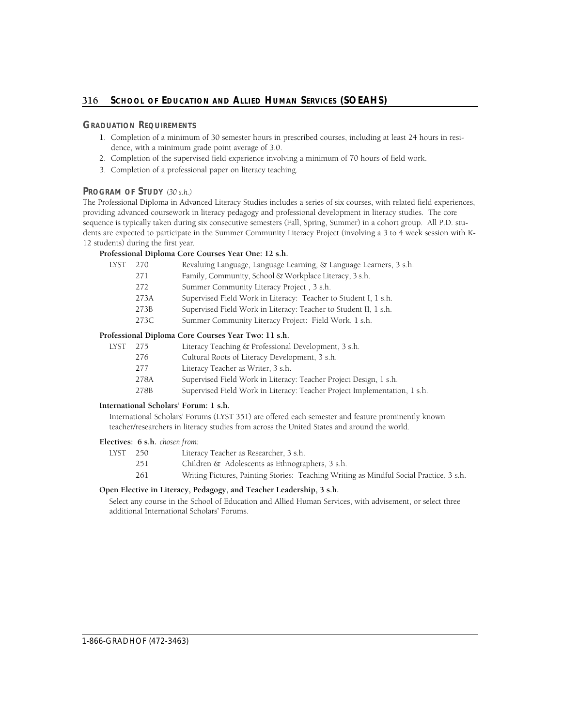# **GRADUATION REQUIREMENTS**

- 1. Completion of a minimum of 30 semester hours in prescribed courses, including at least 24 hours in residence, with a minimum grade point average of 3.0.
- 2. Completion of the supervised field experience involving a minimum of 70 hours of field work.
- 3. Completion of a professional paper on literacy teaching.

## **PROGRAM OF STUDY** *(30 s.h.)*

The Professional Diploma in Advanced Literacy Studies includes a series of six courses, with related field experiences, providing advanced coursework in literacy pedagogy and professional development in literacy studies. The core sequence is typically taken during six consecutive semesters (Fall, Spring, Summer) in a cohort group. All P.D. students are expected to participate in the Summer Community Literacy Project (involving a 3 to 4 week session with K-12 students) during the first year.

## **Professional Diploma Core Courses Year One: 12 s.h.**

| LYST | 270  | Revaluing Language, Language Learning, & Language Learners, 3 s.h. |
|------|------|--------------------------------------------------------------------|
|      | 271  | Family, Community, School & Workplace Literacy, 3 s.h.             |
|      | 272  | Summer Community Literacy Project, 3 s.h.                          |
|      | 273A | Supervised Field Work in Literacy: Teacher to Student I, 1 s.h.    |
|      | 273B | Supervised Field Work in Literacy: Teacher to Student II, 1 s.h.   |
|      | 273C | Summer Community Literacy Project: Field Work, 1 s.h.              |
|      |      |                                                                    |

#### **Professional Diploma Core Courses Year Two: 11 s.h.**

| LYST | 275  | Literacy Teaching & Professional Development, 3 s.h.              |
|------|------|-------------------------------------------------------------------|
|      | 276  | Cultural Roots of Literacy Development, 3 s.h.                    |
|      | 277  | Literacy Teacher as Writer, 3 s.h.                                |
|      | 278A | Supervised Field Work in Literacy: Teacher Project Design, 1 s.h. |
|      |      |                                                                   |

278B Supervised Field Work in Literacy: Teacher Project Implementation, 1 s.h.

#### **International Scholars' Forum: 1 s.h.**

International Scholars' Forums (LYST 351) are offered each semester and feature prominently known teacher/researchers in literacy studies from across the United States and around the world.

# **Electives: 6 s.h.** *chosen from:*

| LYST | 250 | Literacy Teacher as Researcher, 3 s.h.                                                  |
|------|-----|-----------------------------------------------------------------------------------------|
|      | 251 | Children & Adolescents as Ethnographers, 3 s.h.                                         |
|      | 261 | Writing Pictures, Painting Stories: Teaching Writing as Mindful Social Practice, 3 s.h. |
|      |     |                                                                                         |

# **Open Elective in Literacy, Pedagogy, and Teacher Leadership, 3 s.h.**

Select any course in the School of Education and Allied Human Services, with advisement, or select three additional International Scholars' Forums.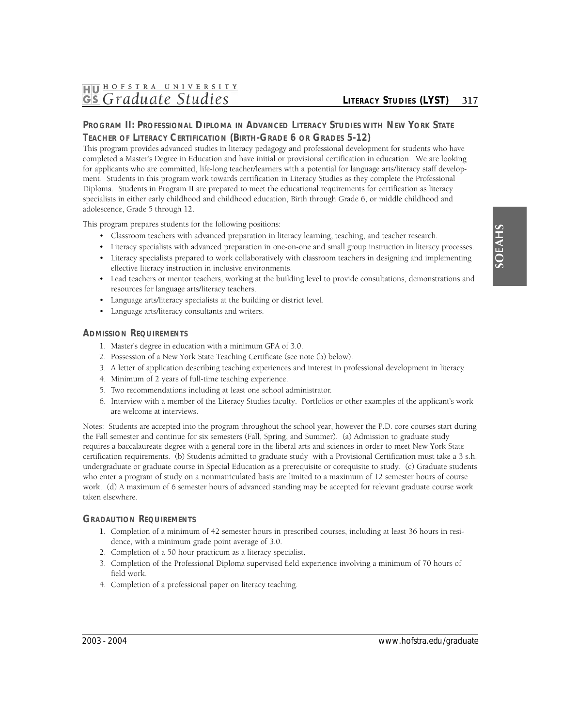# **PROGRAM II: PROFESSIONAL DIPLOMA IN ADVANCED LITERACY STUDIES WITH NEW YORK STATE TEACHER OF LITERACY CERTIFICATION (BIRTH-GRADE 6 OR GRADES 5-12)**

This program provides advanced studies in literacy pedagogy and professional development for students who have completed a Master's Degree in Education and have initial or provisional certification in education. We are looking for applicants who are committed, life-long teacher/learners with a potential for language arts/literacy staff development. Students in this program work towards certification in Literacy Studies as they complete the Professional Diploma. Students in Program II are prepared to meet the educational requirements for certification as literacy specialists in either early childhood and childhood education, Birth through Grade 6, or middle childhood and adolescence, Grade 5 through 12.

This program prepares students for the following positions:

- Classroom teachers with advanced preparation in literacy learning, teaching, and teacher research.
- Literacy specialists with advanced preparation in one-on-one and small group instruction in literacy processes.
- Literacy specialists prepared to work collaboratively with classroom teachers in designing and implementing effective literacy instruction in inclusive environments.
- Lead teachers or mentor teachers, working at the building level to provide consultations, demonstrations and resources for language arts/literacy teachers.
- Language arts/literacy specialists at the building or district level.
- Language arts/literacy consultants and writers.

#### **ADMISSION REQUIREMENTS**

- 1. Master's degree in education with a minimum GPA of 3.0.
- 2. Possession of a New York State Teaching Certificate (see note (b) below).
- 3. A letter of application describing teaching experiences and interest in professional development in literacy.
- 4. Minimum of 2 years of full-time teaching experience.
- 5. Two recommendations including at least one school administrator.
- 6. Interview with a member of the Literacy Studies faculty. Portfolios or other examples of the applicant's work are welcome at interviews.

Notes: Students are accepted into the program throughout the school year, however the P.D. core courses start during the Fall semester and continue for six semesters (Fall, Spring, and Summer). (a) Admission to graduate study requires a baccalaureate degree with a general core in the liberal arts and sciences in order to meet New York State certification requirements. (b) Students admitted to graduate study with a Provisional Certification must take a 3 s.h. undergraduate or graduate course in Special Education as a prerequisite or corequisite to study. (c) Graduate students who enter a program of study on a nonmatriculated basis are limited to a maximum of 12 semester hours of course work. (d) A maximum of 6 semester hours of advanced standing may be accepted for relevant graduate course work taken elsewhere.

#### **GRADAUTION REQUIREMENTS**

- 1. Completion of a minimum of 42 semester hours in prescribed courses, including at least 36 hours in residence, with a minimum grade point average of 3.0.
- 2. Completion of a 50 hour practicum as a literacy specialist.
- 3. Completion of the Professional Diploma supervised field experience involving a minimum of 70 hours of field work.
- 4. Completion of a professional paper on literacy teaching.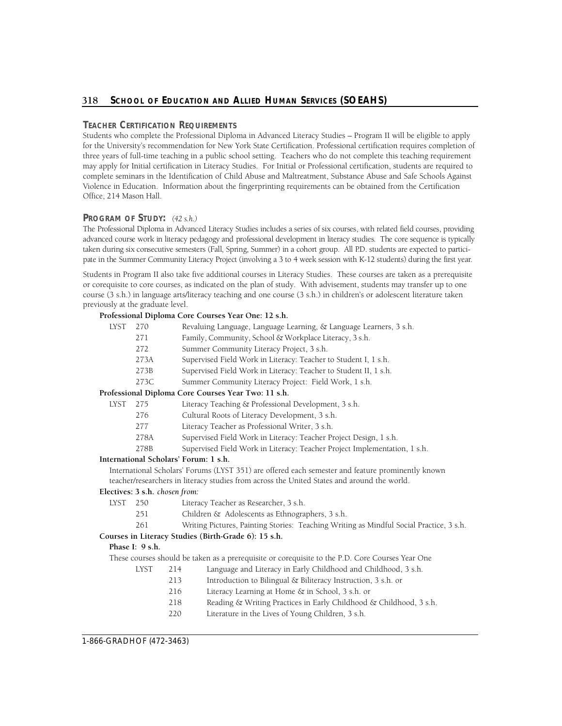# 318 School of Education and Allied Human Services (SOEAHS)

## **TEACHER CERTIFICATION REQUIREMENTS**

Students who complete the Professional Diploma in Advanced Literacy Studies – Program II will be eligible to apply for the University's recommendation for New York State Certification. Professional certification requires completion of three years of full-time teaching in a public school setting. Teachers who do not complete this teaching requirement may apply for Initial certification in Literacy Studies. For Initial or Professional certification, students are required to complete seminars in the Identification of Child Abuse and Maltreatment, Substance Abuse and Safe Schools Against Violence in Education. Information about the fingerprinting requirements can be obtained from the Certification Office, 214 Mason Hall.

#### **PROGRAM OF STUDY:** *(42 s.h.)*

The Professional Diploma in Advanced Literacy Studies includes a series of six courses, with related field courses, providing advanced course work in literacy pedagogy and professional development in literacy studies. The core sequence is typically taken during six consecutive semesters (Fall, Spring, Summer) in a cohort group. All P.D. students are expected to partici-pate in the Summer Community Literacy Project (involving a 3 to 4 week session with K-12 students) during the first year.

Students in Program II also take five additional courses in Literacy Studies. These courses are taken as a prerequisite or corequisite to core courses, as indicated on the plan of study. With advisement, students may transfer up to one course (3 s.h.) in language arts/literacy teaching and one course (3 s.h.) in children's or adolescent literature taken previously at the graduate level.

#### **Professional Diploma Core Courses Year One: 12 s.h.**

| LYST                                                                | 270                            | Revaluing Language, Language Learning, & Language Learners, 3 s.h.                                                                                                                               |
|---------------------------------------------------------------------|--------------------------------|--------------------------------------------------------------------------------------------------------------------------------------------------------------------------------------------------|
|                                                                     | 271                            | Family, Community, School & Workplace Literacy, 3 s.h.                                                                                                                                           |
|                                                                     | 272                            | Summer Community Literacy Project, 3 s.h.                                                                                                                                                        |
|                                                                     | 273A                           | Supervised Field Work in Literacy: Teacher to Student I, 1 s.h.                                                                                                                                  |
|                                                                     | 273B                           | Supervised Field Work in Literacy: Teacher to Student II, 1 s.h.                                                                                                                                 |
|                                                                     | 273C                           | Summer Community Literacy Project: Field Work, 1 s.h.                                                                                                                                            |
|                                                                     |                                | Professional Diploma Core Courses Year Two: 11 s.h.                                                                                                                                              |
| LYST<br>Literacy Teaching & Professional Development, 3 s.h.<br>275 |                                |                                                                                                                                                                                                  |
|                                                                     | 276                            | Cultural Roots of Literacy Development, 3 s.h.                                                                                                                                                   |
|                                                                     | 277                            | Literacy Teacher as Professional Writer, 3 s.h.                                                                                                                                                  |
|                                                                     | 278A                           | Supervised Field Work in Literacy: Teacher Project Design, 1 s.h.                                                                                                                                |
|                                                                     | 278B                           | Supervised Field Work in Literacy: Teacher Project Implementation, 1 s.h.                                                                                                                        |
|                                                                     |                                | International Scholars' Forum: 1 s.h.                                                                                                                                                            |
|                                                                     |                                | International Scholars' Forums (LYST 351) are offered each semester and feature prominently known<br>teacher/researchers in literacy studies from across the United States and around the world. |
|                                                                     | Electives: 3 s.h. chosen from: |                                                                                                                                                                                                  |
| <b>LYST</b>                                                         | 250                            | Literacy Teacher as Researcher, 3 s.h.                                                                                                                                                           |
|                                                                     | 251                            | Children & Adolescents as Ethnographers, 3 s.h.                                                                                                                                                  |
|                                                                     | 261                            | Writing Pictures, Painting Stories: Teaching Writing as Mindful Social Practice, 3 s.h.                                                                                                          |
|                                                                     |                                |                                                                                                                                                                                                  |

#### **Courses in Literacy Studies (Birth-Grade 6): 15 s.h.**

#### **Phase I: 9 s.h.**

These courses should be taken as a prerequisite or corequisite to the P.D. Core Courses Year One

- LYST 214 Language and Literacy in Early Childhood and Childhood, 3 s.h.
	- 213 Introduction to Bilingual & Biliteracy Instruction, 3 s.h. or
	- 216 Literacy Learning at Home & in School, 3 s.h. or
	- 218 Reading & Writing Practices in Early Childhood & Childhood, 3 s.h.
	- 220 Literature in the Lives of Young Children, 3 s.h.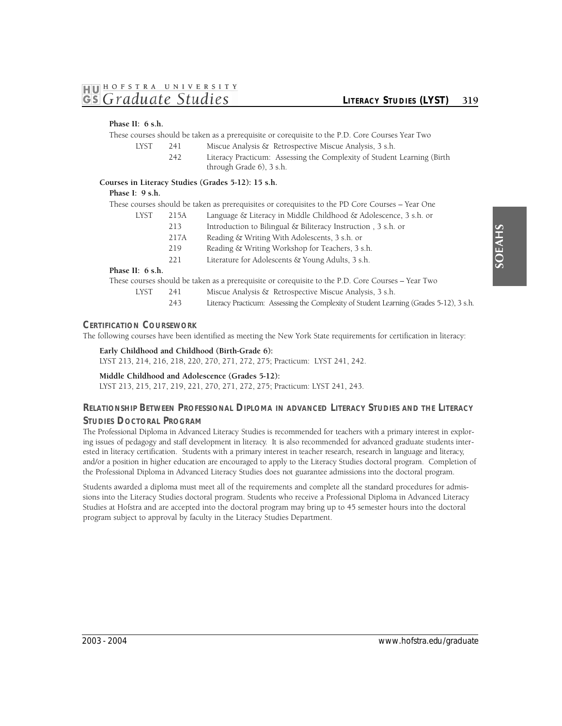#### **Phase II: 6 s.h.**

These courses should be taken as a prerequisite or corequisite to the P.D. Core Courses Year Two

- LYST 241 Miscue Analysis & Retrospective Miscue Analysis, 3 s.h.
	- 242 Literacy Practicum: Assessing the Complexity of Student Learning (Birth through Grade 6), 3 s.h.

## **Courses in Literacy Studies (Grades 5-12): 15 s.h.**

#### **Phase I: 9 s.h.**

|                    |                                                                          | These courses should be taken as prerequisites or corequisites to the PD Core Courses – Year One   |
|--------------------|--------------------------------------------------------------------------|----------------------------------------------------------------------------------------------------|
| <b>LYST</b>        | Language & Literacy in Middle Childhood & Adolescence, 3 s.h. or<br>215A |                                                                                                    |
|                    | 213                                                                      | Introduction to Bilingual & Biliteracy Instruction, 3 s.h. or                                      |
|                    | 217A                                                                     | Reading & Writing With Adolescents, 3 s.h. or                                                      |
|                    | 219                                                                      | Reading & Writing Workshop for Teachers, 3 s.h.                                                    |
|                    | 221                                                                      | Literature for Adolescents & Young Adults, 3 s.h.                                                  |
| Phase II: $6$ s.h. |                                                                          |                                                                                                    |
|                    |                                                                          | These courses should be taken as a prerequisite or corequisite to the P.D. Core Courses – Year Two |
| LYST               | 241                                                                      | Miscue Analysis & Retrospective Miscue Analysis, 3 s.h.                                            |

243 Literacy Practicum: Assessing the Complexity of Student Learning (Grades 5-12), 3 s.h.

#### **CERTIFICATION COURSEWORK**

The following courses have been identified as meeting the New York State requirements for certification in literacy:

**Early Childhood and Childhood (Birth-Grade 6):**  LYST 213, 214, 216, 218, 220, 270, 271, 272, 275; Practicum: LYST 241, 242.

**Middle Childhood and Adolescence (Grades 5-12):**  LYST 213, 215, 217, 219, 221, 270, 271, 272, 275; Practicum: LYST 241, 243.

# **RELATIONSHIP BETWEEN PROFESSIONAL DIPLOMA IN ADVANCED LITERACY STUDIES AND THE LITERACY STUDIES DOCTORAL PROGRAM**

 The Professional Diploma in Advanced Literacy Studies is recommended for teachers with a primary interest in explor- ing issues of pedagogy and staff development in literacy. It is also recommended for advanced graduate students interested in literacy certification. Students with a primary interest in teacher research, research in language and literacy, and/or a position in higher education are encouraged to apply to the Literacy Studies doctoral program. Completion of the Professional Diploma in Advanced Literacy Studies does not guarantee admissions into the doctoral program.

Students awarded a diploma must meet all of the requirements and complete all the standard procedures for admissions into the Literacy Studies doctoral program. Students who receive a Professional Diploma in Advanced Literacy Studies at Hofstra and are accepted into the doctoral program may bring up to 45 semester hours into the doctoral program subject to approval by faculty in the Literacy Studies Department.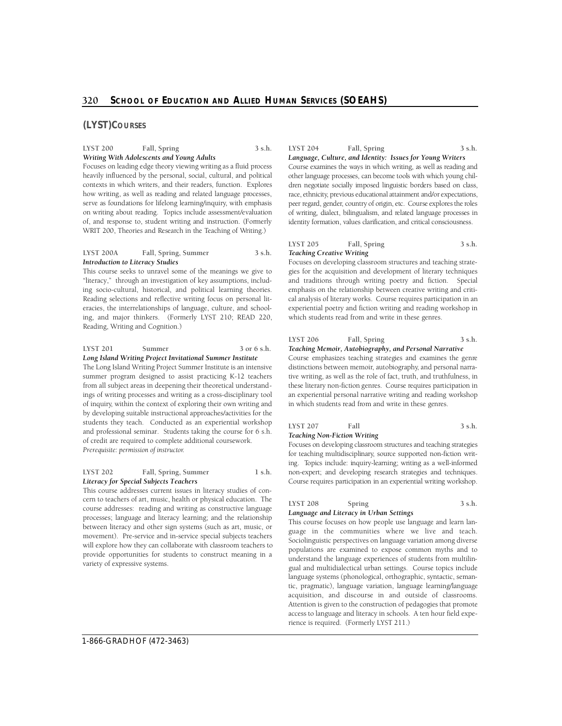#### **(LYST)COURSES**

#### **LYST 200 Fall, Spring 3 s.h.**  *Writing With Adolescents and Young Adults*

 heavily influenced by the personal, social, cultural, and political how writing, as well as reading and related language processes, serve as foundations for lifelong learning/inquiry, with emphasis on writing about reading. Topics include assessment/evaluation of, and response to, student writing and instruction. (Formerly Focuses on leading edge theory viewing writing as a fluid process contexts in which writers, and their readers, function. Explores WRIT 200, Theories and Research in the Teaching of Writing.)

#### **LYST 200A Fall, Spring, Summer 3 s.h.**  *Introduction to Literacy Studies*

This course seeks to unravel some of the meanings we give to "literacy," through an investigation of key assumptions, including socio-cultural, historical, and political learning theories. Reading selections and reflective writing focus on personal literacies, the interrelationships of language, culture, and schooling, and major thinkers. (Formerly LYST 210; READ 220, Reading, Writing and Cognition.)

#### **LYST 201 Summer 3 or 6 s.h.**  *Long Island Writing Project Invitational Summer Institute*

The Long Island Writing Project Summer Institute is an intensive summer program designed to assist practicing K-12 teachers from all subject areas in deepening their theoretical understandings of writing processes and writing as a cross-disciplinary tool of inquiry, within the context of exploring their own writing and by developing suitable instructional approaches/activities for the students they teach. Conducted as an experiential workshop and professional seminar. Students taking the course for 6 s.h. of credit are required to complete additional coursework. *Prerequisite: permission of instructor.* 

#### LYST 202 Fall, Spring, Summer 1 s.h. *Literacy for Special Subjects Teachers*

This course addresses current issues in literacy studies of concern to teachers of art, music, health or physical education. The course addresses: reading and writing as constructive language processes; language and literacy learning; and the relationship between literacy and other sign systems (such as art, music, or movement). Pre-service and in-service special subjects teachers will explore how they can collaborate with classroom teachers to provide opportunities for students to construct meaning in a variety of expressive systems.

| <b>LYST 204</b> | Fall, Spring | 3 s.h. |
|-----------------|--------------|--------|
|                 |              |        |

 Course examines the ways in which writing, as well as reading and dren negotiate socially imposed linguistic borders based on class, race, ethnicity, previous educational attainment and/or expectations, peer regard, gender, country of origin, etc. Course explores the roles of writing, dialect, bilingualism, and related language processes in identity formation, values clarification, and critical consciousness. *Language, Culture, and Identity: Issues for Young Writers*  other language processes, can become tools with which young chil-

#### **LYST 205 Fall, Spring 3 s.h.**  *Teaching Creative Writing*

Focuses on developing classroom structures and teaching strategies for the acquisition and development of literary techniques and traditions through writing poetry and fiction. Special emphasis on the relationship between creative writing and critical analysis of literary works. Course requires participation in an experiential poetry and fiction writing and reading workshop in which students read from and write in these genres.

#### **LYST 206 Fall, Spring 3 s.h.**  *Teaching Memoir, Autobiography, and Personal Narrative*

 Course emphasizes teaching strategies and examines the genre tive writing, as well as the role of fact, truth, and truthfulness, in these literary non-fiction genres. Course requires participation in an experiential personal narrative writing and reading workshop in which students read from and write in these genres. distinctions between memoir, autobiography, and personal narra-

#### LYST 207 Fall 3 s.h. *Teaching Non-Fiction Writing*

ing. Topics include: inquiry-learning; writing as a well-informed non-expert; and developing research strategies and techniques. Focuses on developing classroom structures and teaching strategies for teaching multidisciplinary, source supported non-fiction writ-Course requires participation in an experiential writing workshop.

#### LYST 208 Spring 3 s.h. *Language and Literacy in Urban Settings*

 guage in the communities where we live and teach. acquisition, and discourse in and outside of classrooms. This course focuses on how people use language and learn lan-Sociolinguistic perspectives on language variation among diverse populations are examined to expose common myths and to understand the language experiences of students from multilingual and multidialectical urban settings. Course topics include language systems (phonological, orthographic, syntactic, semantic, pragmatic), language variation, language learning/language Attention is given to the construction of pedagogies that promote access to language and literacy in schools. A ten hour field experience is required. (Formerly LYST 211.)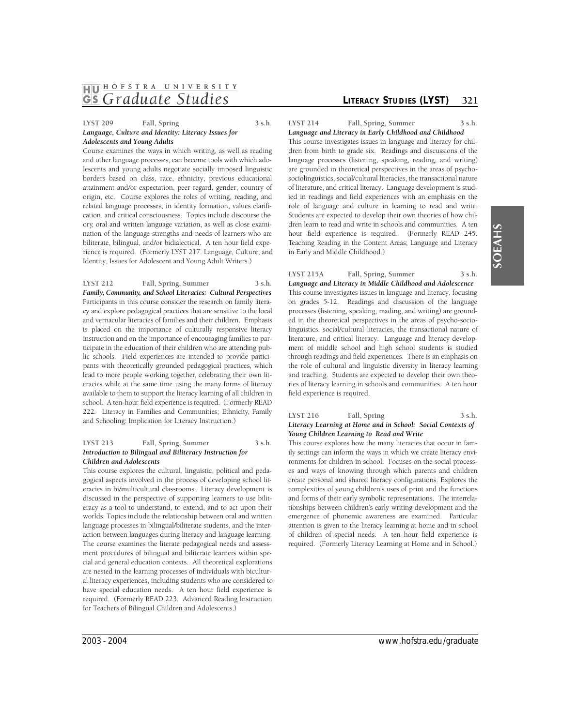# **1HJ01 HOFSTRA UNIVER <sup>S</sup> ITY**  *GS Graduate Studies* **LITERACY STUDIES (LYST)** 321

#### **LYST 209 Fall, Spring 3 s.h.**  *Language, Culture and Identity: Literacy Issues for Adolescents and Young Adults*

Course examines the ways in which writing, as well as reading and other language processes, can become tools with which adolescents and young adults negotiate socially imposed linguistic borders based on class, race, ethnicity, previous educational attainment and/or expectation, peer regard, gender, country of origin, etc. Course explores the roles of writing, reading, and related language processes, in identity formation, values clarification, and critical consciousness. Topics include discourse theory, oral and written language variation, as well as close examination of the language strengths and needs of learners who are biliterate, bilingual, and/or bidialectical. A ten hour field experience is required. (Formerly LYST 217. Language, Culture, and Identity, Issues for Adolescent and Young Adult Writers.)

Family, Community, and School Literacies: Cultural Perspectives cy and explore pedagogical practices that are sensitive to the local lic schools. Field experiences are intended to provide partici- pants with theoretically grounded pedagogical practices, which lead to more people working together, celebrating their own lit- eracies while at the same time using the many forms of literacy school. A ten-hour field experience is required. (Formerly READ 222. Literacy in Families and Communities; Ethnicity, Family **LYST 212 Fall, Spring, Summer 3 s.h.**  Participants in this course consider the research on family literaand vernacular literacies of families and their children. Emphasis is placed on the importance of culturally responsive literacy instruction and on the importance of encouraging families to participate in the education of their children who are attending pubavailable to them to support the literacy learning of all children in and Schooling: Implication for Literacy Instruction.)

#### **LYST 213 Fall, Spring, Summer 3 s.h.**  *Introduction to Bilingual and Biliteracy Instruction for Children and Adolescents*

This course explores the cultural, linguistic, political and pedagogical aspects involved in the process of developing school literacies in bi/multicultural classrooms. Literacy development is discussed in the perspective of supporting learners to use biliteracy as a tool to understand, to extend, and to act upon their worlds. Topics include the relationship between oral and written language processes in bilingual/biliterate students, and the interaction between languages during literacy and language learning. The course examines the literate pedagogical needs and assessment procedures of bilingual and biliterate learners within special and general education contexts. All theoretical explorations are nested in the learning processes of individuals with bicultural literacy experiences, including students who are considered to have special education needs. A ten hour field experience is required. (Formerly READ 223. Advanced Reading Instruction for Teachers of Bilingual Children and Adolescents.)

LYST 214 Fall, Spring, Summer 3 s.h.

hour field experience is required. (Formerly READ 245. *Language and Literacy in Early Childhood and Childhood*  This course investigates issues in language and literacy for children from birth to grade six. Readings and discussions of the language processes (listening, speaking, reading, and writing) are grounded in theoretical perspectives in the areas of psychosociolinguistics, social/cultural literacies, the transactional nature of literature, and critical literacy. Language development is studied in readings and field experiences with an emphasis on the role of language and culture in learning to read and write. Students are expected to develop their own theories of how children learn to read and write in schools and communities. A ten Teaching Reading in the Content Areas; Language and Literacy in Early and Middle Childhood.)

**LYST 215A Fall, Spring, Summer 3 s.h.**  *Language and Literacy in Middle Childhood and Adolescence*  This course investigates issues in language and literacy, focusing on grades 5-12. Readings and discussion of the language processes (listening, speaking, reading, and writing) are grounded in the theoretical perspectives in the areas of psycho-sociolinguistics, social/cultural literacies, the transactional nature of literature, and critical literacy. Language and literacy development of middle school and high school students is studied through readings and field experiences. There is an emphasis on the role of cultural and linguistic diversity in literacy learning and teaching. Students are expected to develop their own theories of literacy learning in schools and communities. A ten hour field experience is required.

#### **LYST 216 Fall, Spring 3 s.h.**  *Literacy Learning at Home and in School: Social Contexts of Young Children Learning to Read and Write*

This course explores how the many literacies that occur in family settings can inform the ways in which we create literacy environments for children in school. Focuses on the social processes and ways of knowing through which parents and children create personal and shared literacy configurations. Explores the complexities of young children's uses of print and the functions and forms of their early symbolic representations. The interrelationships between children's early writing development and the emergence of phonemic awareness are examined. Particular attention is given to the literacy learning at home and in school of children of special needs. A ten hour field experience is required. (Formerly Literacy Learning at Home and in School.)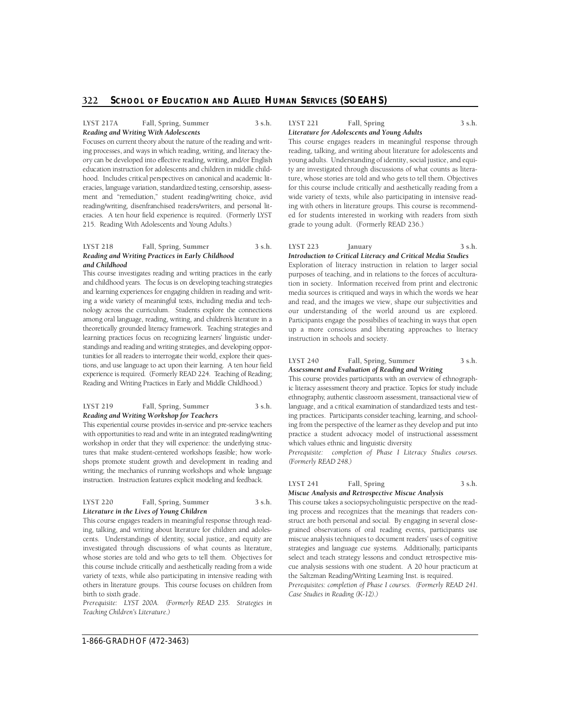#### **LYST 217A Fall, Spring, Summer 3 s.h.**  *Reading and Writing With Adolescents*

 Focuses on current theory about the nature of the reading and writ- ory can be developed into effective reading, writing, and/or English education instruction for adolescents and children in middle child- eracies, language variation, standardized testing, censorship, assess- ment and "remediation," student reading/writing choice, avid eracies. A ten hour field experience is required. (Formerly LYST 215. Reading With Adolescents and Young Adults.) ing processes, and ways in which reading, writing, and literacy thehood. Includes critical perspectives on canonical and academic litreading/writing, disenfranchised readers/writers, and personal lit-

#### **LYST 218 Fall, Spring, Summer 3 s.h.**  *Reading and Writing Practices in Early Childhood and Childhood*

 This course investigates reading and writing practices in the early and childhood years. The focus is on developing teaching strategies ing a wide variety of meaningful texts, including media and tech- nology across the curriculum. Students explore the connections among oral language, reading, writing, and children's literature in a theoretically grounded literacy framework. Teaching strategies and learning practices focus on recognizing learners' linguistic under- standings and reading and writing strategies, and developing opporexperience is required. (Formerly READ 224. Teaching of Reading; Reading and Writing Practices in Early and Middle Childhood.) and learning experiences for engaging children in reading and writtunities for all readers to interrogate their world, explore their questions, and use language to act upon their learning. A ten hour field

#### **LYST 219 Fall, Spring, Summer 3 s.h.**  *Reading and Writing Workshop for Teachers*

This experiential course provides in-service and pre-service teachers with opportunities to read and write in an integrated reading/writing workshop in order that they will experience: the underlying structures that make student-centered workshops feasible; how work- shops promote student growth and development in reading and writing; the mechanics of running workshops and whole language instruction. Instruction features explicit modeling and feedback.

#### **LYST 220 Fall, Spring, Summer 3 s.h.**  *Literature in the Lives of Young Children*

 cents. Understandings of identity, social justice, and equity are investigated through discussions of what counts as literature, whose stories are told and who gets to tell them. Objectives for variety of texts, while also participating in intensive reading with others in literature groups. This course focuses on children from birth to sixth grade. This course engages readers in meaningful response through reading, talking, and writing about literature for children and adolesthis course include critically and aesthetically reading from a wide

*Prerequisite: LYST 200A. (Formerly READ 235. Strategies in Teaching Children's Literature.)* 

**LYST 221 Fall, Spring 3 s.h.** 

*Literature for Adolescents and Young Adults* 

This course engages readers in meaningful response through reading, talking, and writing about literature for adolescents and young adults. Understanding of identity, social justice, and equity are investigated through discussions of what counts as literature, whose stories are told and who gets to tell them. Objectives for this course include critically and aesthetically reading from a wide variety of texts, while also participating in intensive reading with others in literature groups. This course is recommended for students interested in working with readers from sixth grade to young adult. (Formerly READ 236.)

#### **LYST 223 January 3 s.h.**  *Introduction to Critical Literacy and Critical Media Studies*

our understanding of the world around us are explored. Exploration of literacy instruction in relation to larger social purposes of teaching, and in relations to the forces of acculturation in society. Information received from print and electronic media sources is critiqued and ways in which the words we hear and read, and the images we view, shape our subjectivities and Participants engage the possibilies of teaching in ways that open up a more conscious and liberating approaches to literacy instruction in schools and society.

#### LYST 240 Fall, Spring, Summer 3 s.h. *Assessment and Evaluation of Reading and Writing*

 practice a student advocacy model of instructional assessment which values ethnic and linguistic diversity. This course provides participants with an overview of ethnographic literacy assessment theory and practice. Topics for study include ethnography, authentic classroom assessment, transactional view of language, and a critical examination of standardized tests and testing practices. Participants consider teaching, learning, and schooling from the perspective of the learner as they develop and put into

Prerequisite: completion of Phase I Literacy Studies courses. *(Formerly READ 248.)* 

#### **LYST 241 Fall, Spring 3 s.h.**  *Miscue Analysis and Retrospective Miscue Analysis*

This course takes a sociopsycholinguistic perspective on the read- ing process and recognizes that the meanings that readers construct are both personal and social. By engaging in several close- miscue analysis techniques to document readers' uses of cognitive strategies and language cue systems. Additionally, participants grained observations of oral reading events, participants use select and teach strategy lessons and conduct retrospective mis-

 cue analysis sessions with one student. A 20 hour practicum at the Saltzman Reading/Writing Learning Inst. is required. *Prerequisites: completion of Phase I courses. (Formerly READ 241. Case Studies in Reading (K-12).)*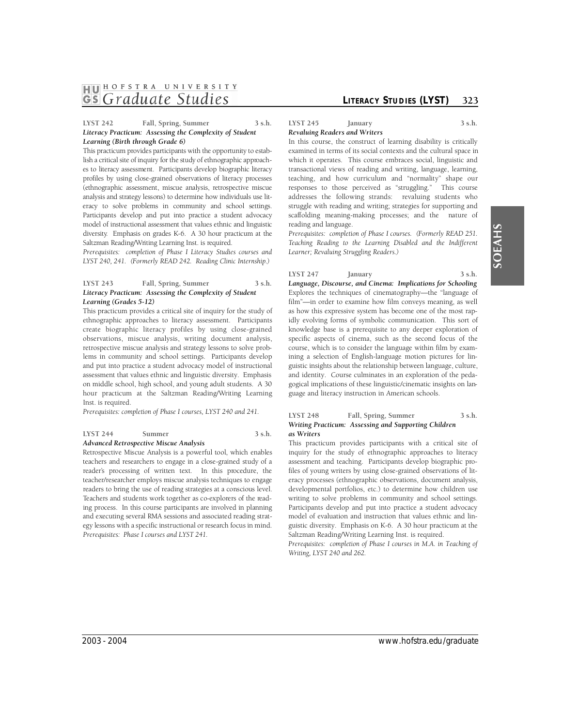# **1HJ01 HOFSTRA UNIVER <sup>S</sup> ITY GS** Graduate Studies *CITERACY STUDIES* (LYST) 323

#### **LYST 242 Fall, Spring, Summer 3 s.h.**  *Literacy Practicum: Assessing the Complexity of Student Learning (Birth through Grade 6)*

 This practicum provides participants with the opportunity to establish a critical site of inquiry for the study of ethnographic approach- es to literacy assessment. Participants develop biographic literacy profiles by using close-grained observations of literacy processes (ethnographic assessment, miscue analysis, retrospective miscue analysis and strategy lessons) to determine how individuals use lit- eracy to solve problems in community and school settings. model of instructional assessment that values ethnic and linguistic diversity. Emphasis on grades K-6. A 30 hour practicum at the Participants develop and put into practice a student advocacy Saltzman Reading/Writing Learning Inst. is required.

*Prerequisites: completion of Phase I Literacy Studies courses and LYST 240, 241. (Formerly READ 242. Reading Clinic Internship.)* 

#### LYST 243 Fall, Spring, Summer 3 s.h. *Literacy Practicum: Assessing the Complexity of Student Learning (Grades 5-12)*

This practicum provides a critical site of inquiry for the study of ethnographic approaches to literacy assessment. Participants create biographic literacy profiles by using close-grained observations, miscue analysis, writing document analysis, retrospective miscue analysis and strategy lessons to solve problems in community and school settings. Participants develop and put into practice a student advocacy model of instructional assessment that values ethnic and linguistic diversity. Emphasis on middle school, high school, and young adult students. A 30 hour practicum at the Saltzman Reading/Writing Learning Inst. is required.

*Prerequisites: completion of Phase I courses, LYST 240 and 241.* 

#### **LYST 244 Summer 3 s.h.**  *Advanced Retrospective Miscue Analysis*

Retrospective Miscue Analysis is a powerful tool, which enables teachers and researchers to engage in a close-grained study of a reader's processing of written text. In this procedure, the readers to bring the use of reading strategies at a conscious level. ing process. In this course participants are involved in planning and executing several RMA sessions and associated reading strategy lessons with a specific instructional or research focus in mind. teacher/researcher employs miscue analysis techniques to engage Teachers and students work together as co-explorers of the read-*Prerequisites: Phase I courses and LYST 241.* 

**LYST 245 January 3 s.h.**  *Revaluing Readers and Writers* 

 teaching, and how curriculum and "normality" shape our scaffolding meaning-making processes; and the nature of In this course, the construct of learning disability is critically examined in terms of its social contexts and the cultural space in which it operates. This course embraces social, linguistic and transactional views of reading and writing, language, learning, responses to those perceived as "struggling." This course addresses the following strands: revaluing students who struggle with reading and writing; strategies for supporting and reading and language.

*Prerequisites: completion of Phase I courses. (Formerly READ 251. Teaching Reading to the Learning Disabled and the Indifferent Learner; Revaluing Struggling Readers.)* 

**LYST 247 January 3 s.h.** 

*Language, Discourse, and Cinema: Implications for Schooling*  Explores the techniques of cinematography—the "language of film"—in order to examine how film conveys meaning, as well as how this expressive system has become one of the most rapidly evolving forms of symbolic communication. This sort of knowledge base is a prerequisite to any deeper exploration of specific aspects of cinema, such as the second focus of the course, which is to consider the language within film by examining a selection of English-language motion pictures for linguistic insights about the relationship between language, culture, and identity. Course culminates in an exploration of the pedagogical implications of these linguistic/cinematic insights on language and literacy instruction in American schools.

#### LYST 248 Fall, Spring, Summer 3 s.h. *Writing Practicum: Assessing and Supporting Children as Writers*

This practicum provides participants with a critical site of inquiry for the study of ethnographic approaches to literacy assessment and teaching. Participants develop biographic profiles of young writers by using close-grained observations of literacy processes (ethnographic observations, document analysis, developmental portfolios, etc.) to determine how children use writing to solve problems in community and school settings. Participants develop and put into practice a student advocacy model of evaluation and instruction that values ethnic and linguistic diversity. Emphasis on K-6. A 30 hour practicum at the Saltzman Reading/Writing Learning Inst. is required.

Prerequisites: completion of Phase I courses in M.A. in Teaching of *Writing, LYST 240 and 262.*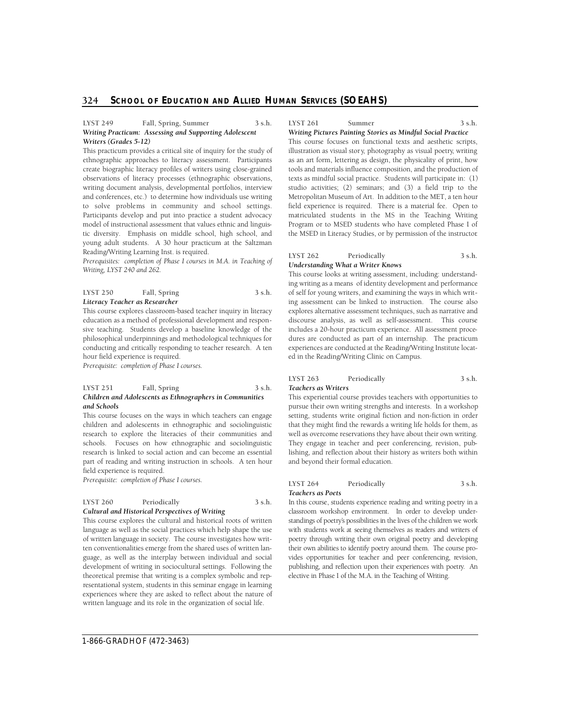#### LYST 249 Fall, Spring, Summer 3 s.h. *Writing Practicum: Assessing and Supporting Adolescent Writers (Grades 5-12)*

 to solve problems in community and school settings. This practicum provides a critical site of inquiry for the study of ethnographic approaches to literacy assessment. Participants create biographic literacy profiles of writers using close-grained observations of literacy processes (ethnographic observations, writing document analysis, developmental portfolios, interview and conferences, etc.) to determine how individuals use writing Participants develop and put into practice a student advocacy model of instructional assessment that values ethnic and linguistic diversity. Emphasis on middle school, high school, and young adult students. A 30 hour practicum at the Saltzman Reading/Writing Learning Inst. is required.

*Prerequisites: completion of Phase I courses in M.A. in Teaching of Writing, LYST 240 and 262.* 

| <b>LYST 250</b>                | Fall, Spring | 3 s.h. |
|--------------------------------|--------------|--------|
| Literacy Teacher as Researcher |              |        |

This course explores classroom-based teacher inquiry in literacy education as a method of professional development and responsive teaching. Students develop a baseline knowledge of the philosophical underpinnings and methodological techniques for conducting and critically responding to teacher research. A ten hour field experience is required.

*Prerequisite: completion of Phase I courses.* 

#### **LYST 251 Fall, Spring 3 s.h.**  *Children and Adolescents as Ethnographers in Communities and Schools*

This course focuses on the ways in which teachers can engage children and adolescents in ethnographic and sociolinguistic research to explore the literacies of their communities and schools. Focuses on how ethnographic and sociolinguistic research is linked to social action and can become an essential part of reading and writing instruction in schools. A ten hour field experience is required.

*Prerequisite: completion of Phase I courses.* 

#### LYST 260 Periodically 3 s.h. *Cultural and Historical Perspectives of Writing*

This course explores the cultural and historical roots of written language as well as the social practices which help shape the use of written language in society. The course investigates how written conventionalities emerge from the shared uses of written language, as well as the interplay between individual and social development of writing in sociocultural settings. Following the theoretical premise that writing is a complex symbolic and representational system, students in this seminar engage in learning experiences where they are asked to reflect about the nature of written language and its role in the organization of social life.

LYST 261 Summer 3 s.h.

*Writing Pictures Painting Stories as Mindful Social Practice* 

This course focuses on functional texts and aesthetic scripts, illustration as visual stor y, photography as visual poetry, writing as an art form, lettering as design, the physicality of print, how tools and materials influence composition, and the production of texts as mindful social practice. Students will participate in: (1) studio activities; (2) seminars; and (3) a field trip to the Metropolitan Museum of Art. In addition to the MET, a ten hour field experience is required. There is a material fee. Open to matriculated students in the MS in the Teaching Writing Program or to MSED students who have completed Phase I of the MSED in Literacy Studies, or by permission of the instructor.

#### **LYST 262 Periodically 3 s.h.**  *Understanding What a Writer Knows*

This course looks at writing assessment, including: understanding writing as a means of identity development and performance of self for young writers, and examining the ways in which writing assessment can be linked to instruction. The course also explores alternative assessment techniques, such as narrative and discourse analysis, as well as self-assessment. This course includes a 20-hour practicum experience. All assessment procedures are conducted as part of an internship. The practicum experiences are conducted at the Reading/Writing Institute located in the Reading/Writing Clinic on Campus.

#### **LYST 263 Periodically 3 s.h.**  *Teachers as Writers*

This experiential course provides teachers with opportunities to pursue their own writing strengths and interests. In a workshop setting, students write original fiction and non-fiction in order that they might find the rewards a writing life holds for them, as well as overcome reservations they have about their own writing. They engage in teacher and peer conferencing, revision, publishing, and reflection about their history as writers both within and beyond their formal education.

#### **LYST 264 Periodically 3 s.h.**  *Teachers as Poets*

 In this course, students experience reading and writing poetry in a classroom workshop environment. In order to develop understandings of poetry's possibilities in the lives of the children we work with students work at seeing themselves as readers and writers of vides opportunities for teacher and peer conferencing, revision, publishing, and reflection upon their experiences with poetry. An elective in Phase I of the M.A. in the Teaching of Writing. poetry through writing their own original poetry and developing their own abilities to identify poetry around them. The course pro-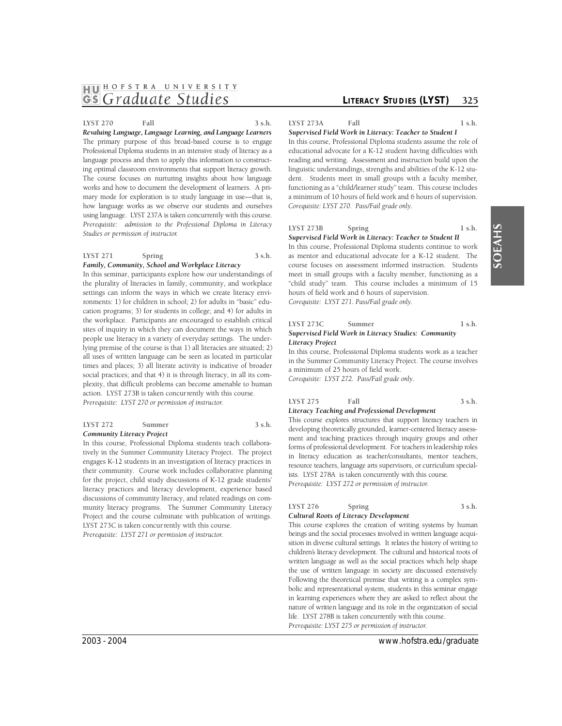# **1HJ01 HOFSTRA UNIVER <sup>S</sup> ITY**  *GS Graduate Studies LITERACY STUDIES* **(LYST) 325**

#### **LYST 270 Fall 3 s.h.**

 *Revaluing Language, Language Learning, and Language Learners*  The primary purpose of this broad-based course is to engage Professional Diploma students in an intensive study of literacy as a language process and then to apply this information to constructing optimal classroom environments that support literacy growth. works and how to document the development of learners. A primary mode for exploration is to study language in use—that is, how language works as we observe our students and ourselves using language. LYST 237A is taken concurrently with this course. The course focuses on nurturing insights about how language *Prerequisite: admission to the Professional Diploma in Literacy Studies or permission of instructor.* 

#### **LYST 271 Spring 3 s.h.**  *Family, Community, School and Workplace Literacy*

In this seminar, participants explore how our understandings of the plurality of literacies in family, community, and workplace settings can inform the ways in which we create literacy environments: 1) for children in school; 2) for adults in "basic" education programs; 3) for students in college; and 4) for adults in the workplace. Participants are encouraged to establish critical sites of inquiry in which they can document the ways in which people use literacy in a variety of everyday settings. The underlying premise of the course is that 1) all literacies are situated; 2) all uses of written language can be seen as located in particular times and places; 3) all literate activity is indicative of broader social practices; and that 4) it is through literacy, in all its complexity, that difficult problems can become amenable to human action. LYST 273B is taken concurrently with this course. *Prerequisite: LYST 270 or permission of instructor.* 

#### **LYST 272 Summer 3 s.h.**  *Community Literacy Project*

In this course, Professional Diploma students teach collaboratively in the Summer Community Literacy Project. The project engages K-12 students in an investigation of literacy practices in their community. Course work includes collaborative planning for the project, child study discussions of K-12 grade students' literacy practices and literacy development, experience based discussions of community literacy, and related readings on community literacy programs. The Summer Community Literacy Project and the course culminate with publication of writings. LYST 273C is taken concur rently with this course. *Prerequisite: LYST 271 or permission of instructor.* 

**LYST 273A** Fall 1 s.h.

*Supervised Field Work in Literacy: Teacher to Student I*  In this course, Professional Diploma students assume the role of educational advocate for a K-12 student having difficulties with reading and writing. Assessment and instruction build upon the linguistic understandings, strengths and abilities of the K-12 student. Students meet in small groups with a faculty member, functioning as a "child/learner study" team. This course includes a minimum of 10 hours of field work and 6 hours of supervision. *Corequisite: LYST 270. Pass/Fail grade only.* 

#### LYST 273B Spring 1 s.h.

*Supervised Field Work in Literacy: Teacher to Student II*  In this course, Professional Diploma students continue to work as mentor and educational advocate for a K-12 student. The course focuses on assessment informed instruction. Students meet in small groups with a faculty member, functioning as a "child study" team. This course includes a minimum of 15 hours of field work and 6 hours of supervision. *Corequisite: LYST 271. Pass/Fail grade only.* 

#### **LYST 273C** Summer 1 s.h. *Supervised Field Work in Literacy Studies: Community Literacy Project*

In this course, Professional Diploma students work as a teacher in the Summer Community Literacy Project. The course involves a minimum of 25 hours of field work. *Corequisite: LYST 272. Pass/Fail grade only.* 

#### **LYST 275 Fall 3 s.h.**  *Literacy Teaching and Professional Development*

 ment and teaching practices through inquiry groups and other forms of professional development. For teachers in leadership roles in literacy education as teacher/consultants, mentor teachers, ists. LYST 278A is taken concurrently with this course. This course explores structures that support literacy teachers in developing theoretically grounded, learner-centered literacy assessresource teachers, language arts supervisors, or curriculum special-*Prerequisite: LYST 272 or permission of instructor.* 

#### LYST 276 Spring 3 s.h. *Cultural Roots of Literacy Development*

 This course explores the creation of writing systems by human written language as well as the social practices which help shape the use of written language in society are discussed extensively. Following the theoretical premise that writing is a complex sym- in learning experiences where they are asked to reflect about the nature of written language and its role in the organization of social life. LYST 278B is taken concurrently with this course. beings and the social processes involved in written language acquisition in diverse cultural settings. It relates the history of writing to children's literacy development. The cultural and historical roots of bolic and representational system, students in this seminar engage *Prerequisite: LYST 275 or permission of instructor.* 

# 2003 - 2004 www.hofstra.edu/graduate

# SOEAHS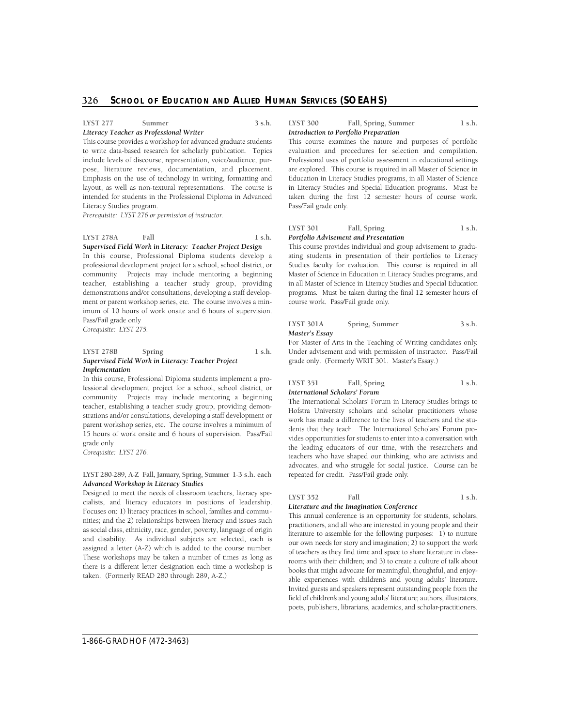#### **LYST 277** Summer 3 s.h.

# *Literacy Teacher as Professional Writer*

 pose, literature reviews, documentation, and placement. This course provides a workshop for advanced graduate students to write data-based research for scholarly publication. Topics include levels of discourse, representation, voice/audience, pur-Emphasis on the use of technology in writing, formatting and layout, as well as non-textural representations. The course is intended for students in the Professional Diploma in Advanced Literacy Studies program.

*Prerequisite: LYST 276 or permission of instructor.* 

#### **LYST 278A** Fall 1 s.h. *Supervised Field Work in Literacy: Teacher Project Design*

 In this course, Professional Diploma students develop a teacher, establishing a teacher study group, providing professional development project for a school, school district, or community. Projects may include mentoring a beginning demonstrations and/or consultations, developing a staff development or parent workshop series, etc. The course involves a minimum of 10 hours of work onsite and 6 hours of supervision. Pass/Fail grade only *Corequisite: LYST 275.* 

#### **LYST 278B** Spring 1 s.h. *Supervised Field Work in Literacy: Teacher Project Implementation*

community. Projects may include mentoring a beginning In this course, Professional Diploma students implement a professional development project for a school, school district, or teacher, establishing a teacher study group, providing demonstrations and/or consultations, developing a staff development or parent workshop series, etc. The course involves a minimum of 15 hours of work onsite and 6 hours of supervision. Pass/Fail grade only

*Corequisite: LYST 276.* 

#### **LYST 280-289, A-Z Fall, January, Spring, Summer 1-3 s.h. each**  *Advanced Workshop in Literacy Studies*

Designed to meet the needs of classroom teachers, literacy specialists, and literacy educators in positions of leadership. Focuses on: 1) literacy practices in school, families and communities; and the 2) relationships between literacy and issues such as social class, ethnicity, race, gender, poverty, language of origin and disability. As individual subjects are selected, each is assigned a letter (A-Z) which is added to the course number. These workshops may be taken a number of times as long as there is a different letter designation each time a workshop is taken. (Formerly READ 280 through 289, A-Z.)

#### LYST 300 Fall, Spring, Summer 1 s.h. *Introduction to Portfolio Preparation*

This course examines the nature and purposes of portfolio evaluation and procedures for selection and compilation. Professional uses of portfolio assessment in educational settings are explored. This course is required in all Master of Science in Education in Literacy Studies programs, in all Master of Science in Literacy Studies and Special Education programs. Must be taken during the first 12 semester hours of course work. Pass/Fail grade only.

#### LYST 301 Fall, Spring 1 s.h. *Portfolio Advisement and Presentation*

 in all Master of Science in Literacy Studies and Special Education p rograms. Must be taken during the final 12 semester hours of This course provides individual and group advisement to graduating students in presentation of their portfolios to Literacy Studies faculty for evaluation. This course is required in all Master of Science in Education in Literacy Studies programs, and course work. Pass/Fail grade only.

#### LYST 301A Spring, Summer 3 s.h. *Master's Essay*

For Master of Arts in the Teaching of Writing candidates only. Under advisement and with permission of instructor. Pass/Fail grade only. (Formerly WRIT 301. Master's Essay.)

#### LYST 351 Fall, Spring 1 s.h. *International Scholars' Forum*

The International Scholars' Forum in Literacy Studies brings to Hofstra University scholars and scholar practitioners whose work has made a difference to the lives of teachers and the students that they teach. The International Scholars' Forum provides opportunities for students to enter into a conversation with the leading educators of our time, with the researchers and teachers who have shaped our thinking, who are activists and advocates, and who struggle for social justice. Course can be repeated for credit. Pass/Fail grade only.

# **LYST 352** Fall 1 s.h.

# *Literature and the Imagination Conference*

 This annual conference is an opportunity for students, scholars, literature to assemble for the following purposes: 1) to nurture of teachers as they find time and space to share literature in class- books that might advocate for meaningful, thoughtful, and enjoyable experiences with children's and young adults' literature. practitioners, and all who are interested in young people and their our own needs for story and imagination; 2) to support the work rooms with their children; and 3) to create a culture of talk about Invited guests and speakers represent outstanding people from the field of children's and young adults' literature; authors, illustrators, poets, publishers, librarians, academics, and scholar-practitioners.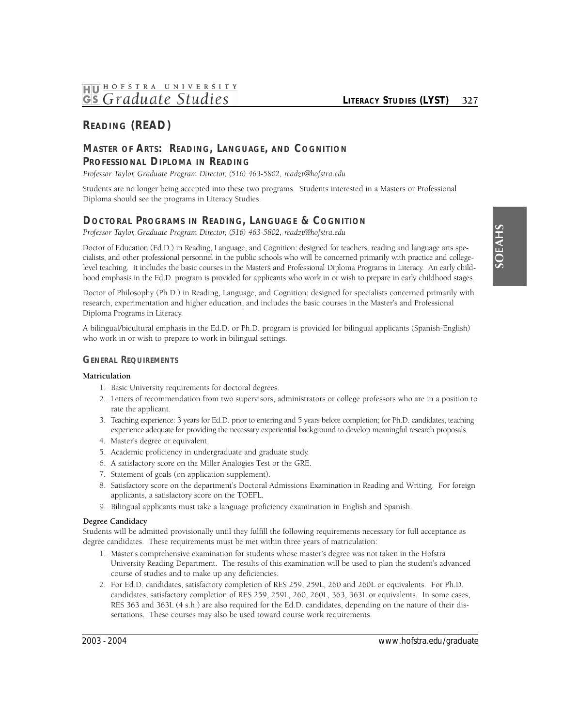# **READING (READ)**

# **Master of Arts: Reading, Language, and Cognition PROFESSIONAL DIPLOMA IN READING**

Professor Taylor, Graduate Program Director, (516) 463-5802, readzt@hofstra.edu

Students are no longer being accepted into these two programs. Students interested in a Masters or Professional Diploma should see the programs in Literacy Studies.

# **DOCTORAL PROGRAMS IN READING, LANGUAGE & COGNITION**

Professor Taylor, Graduate Program Director, (516) 463-5802, readzt@hofstra.edu

 Doctor of Education (Ed.D.) in Reading, Language, and Cognition: designed for teachers, reading and language arts spe- level teaching. It includes the basic courses in the Master's and Professional Diploma Programs in Literacy. An early childcialists, and other professional personnel in the public schools who will be concerned primarily with practice and collegehood emphasis in the Ed.D. program is provided for applicants who work in or wish to prepare in early childhood stages.

Doctor of Philosophy (Ph.D.) in Reading, Language, and Cognition: designed for specialists concerned primarily with research, experimentation and higher education, and includes the basic courses in the Master's and Professional Diploma Programs in Literacy.

A bilingual/bicultural emphasis in the Ed.D. or Ph.D. program is provided for bilingual applicants (Spanish-English) who work in or wish to prepare to work in bilingual settings.

# **GENERAL REQUIREMENTS**

#### **Matriculation**

- 1. Basic University requirements for doctoral degrees.
- 2. Letters of recommendation from two supervisors, administrators or college professors who are in a position to rate the applicant.
- 3. Teaching experience: 3 years for Ed.D. prior to entering and 5 years before completion; for Ph.D. candidates, teaching experience adequate for providing the necessary experiential background to develop meaningful research proposals.
- 4. Master's degree or equivalent.
- 5. Academic proficiency in undergraduate and graduate study.
- 6. A satisfactory score on the Miller Analogies Test or the GRE.
- 7. Statement of goals (on application supplement).
- 8. Satisfactory score on the department's Doctoral Admissions Examination in Reading and Writing. For foreign applicants, a satisfactory score on the TOEFL.
- 9. Bilingual applicants must take a language proficiency examination in English and Spanish.

#### **Degree Candidacy**

Students will be admitted provisionally until they fulfill the following requirements necessary for full acceptance as degree candidates. These requirements must be met within three years of matriculation:

- 1. Master's comprehensive examination for students whose master's degree was not taken in the Hofstra University Reading Department. The results of this examination will be used to plan the student's advanced course of studies and to make up any deficiencies.
- 2. For Ed.D. candidates, satisfactory completion of RES 259, 259L, 260 and 260L or equivalents. For Ph.D. candidates, satisfactory completion of RES 259, 259L, 260, 260L, 363, 363L or equivalents. In some cases, RES 363 and 363L (4 s.h.) are also required for the Ed.D. candidates, depending on the nature of their dissertations. These courses may also be used toward course work requirements.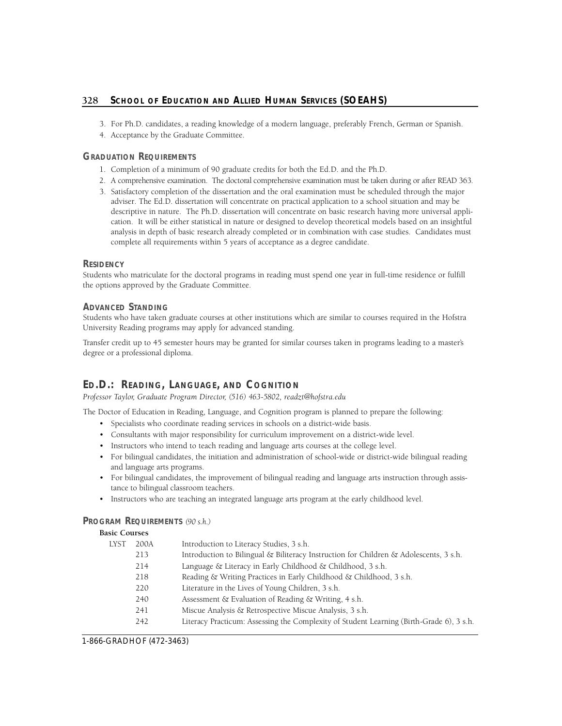- 3. For Ph.D. candidates, a reading knowledge of a modern language, preferably French, German or Spanish.
- 4. Acceptance by the Graduate Committee.

# **GRADUATION REQUIREMENTS**

- 1. Completion of a minimum of 90 graduate credits for both the Ed.D. and the Ph.D.
- 2. A comprehensive examination. The doctoral comprehensive examination must be taken during or after READ 363.
- 3. Satisfactory completion of the dissertation and the oral examination must be scheduled through the major adviser. The Ed.D. dissertation will concentrate on practical application to a school situation and may be descriptive in nature. The Ph.D. dissertation will concentrate on basic research having more universal application. It will be either statistical in nature or designed to develop theoretical models based on an insightful analysis in depth of basic research already completed or in combination with case studies. Candidates must complete all requirements within 5 years of acceptance as a degree candidate.

#### **RESIDENCY**

Students who matriculate for the doctoral programs in reading must spend one year in full-time residence or fulfill the options approved by the Graduate Committee.

## **ADVANCED STANDING**

Students who have taken graduate courses at other institutions which are similar to courses required in the Hofstra University Reading programs may apply for advanced standing.

Transfer credit up to 45 semester hours may be granted for similar courses taken in programs leading to a master's degree or a professional diploma.

# **ED.D.: READING, LANGUAGE, AND COGNITION**

Professor Taylor, Graduate Program Director, (516) 463-5802, readzt@hofstra.edu

The Doctor of Education in Reading, Language, and Cognition program is planned to prepare the following:

- Specialists who coordinate reading services in schools on a district-wide basis.
- Consultants with major responsibility for curriculum improvement on a district-wide level.
- Instructors who intend to teach reading and language arts courses at the college level.
- For bilingual candidates, the initiation and administration of school-wide or district-wide bilingual reading and language arts programs.
- For bilingual candidates, the improvement of bilingual reading and language arts instruction through assistance to bilingual classroom teachers.
- Instructors who are teaching an integrated language arts program at the early childhood level.

# **PROGRAM REQUIREMENTS** *(90 s.h.)*

# **Basic Courses**

| LYST | 200A | Introduction to Literacy Studies, 3 s.h.                                                 |
|------|------|------------------------------------------------------------------------------------------|
|      | 213  | Introduction to Bilingual & Biliteracy Instruction for Children & Adolescents, 3 s.h.    |
|      | 214  | Language & Literacy in Early Childhood & Childhood, 3 s.h.                               |
|      | 218  | Reading & Writing Practices in Early Childhood & Childhood, 3 s.h.                       |
|      | 220  | Literature in the Lives of Young Children, 3 s.h.                                        |
|      | 240  | Assessment & Evaluation of Reading & Writing, 4 s.h.                                     |
|      | 241  | Miscue Analysis & Retrospective Miscue Analysis, 3 s.h.                                  |
|      | 242  | Literacy Practicum: Assessing the Complexity of Student Learning (Birth-Grade 6), 3 s.h. |
|      |      |                                                                                          |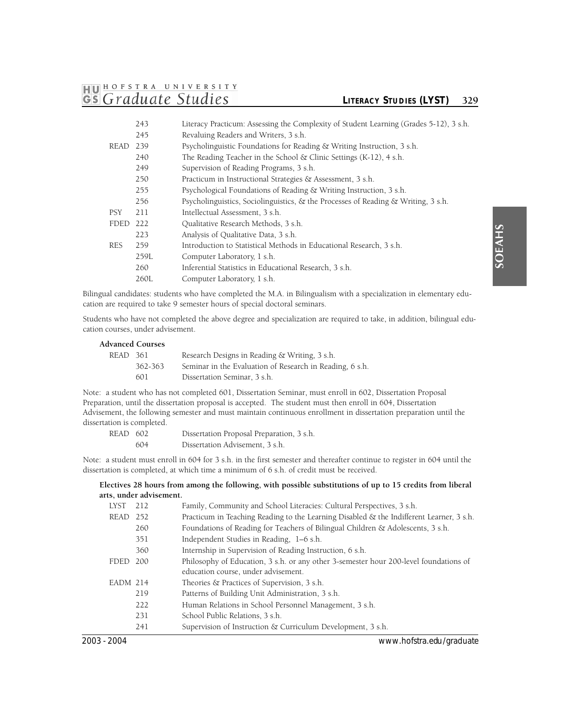# **1HJ01 HOFSTRA UNIVER <sup>S</sup> ITY GS** Graduate Studies *CITERACY STUDIES* (LYST) 329

|             | 243  | Literacy Practicum: Assessing the Complexity of Student Learning (Grades 5-12), 3 s.h.  |
|-------------|------|-----------------------------------------------------------------------------------------|
|             | 245  | Revaluing Readers and Writers, 3 s.h.                                                   |
| <b>READ</b> | 239  | Psycholinguistic Foundations for Reading & Writing Instruction, 3 s.h.                  |
|             | 240  | The Reading Teacher in the School $\&$ Clinic Settings (K-12), 4 s.h.                   |
|             | 249  | Supervision of Reading Programs, 3 s.h.                                                 |
|             | 250  | Practicum in Instructional Strategies & Assessment, 3 s.h.                              |
|             | 255  | Psychological Foundations of Reading & Writing Instruction, 3 s.h.                      |
|             | 256  | Psycholinguistics, Sociolinguistics, $\&$ the Processes of Reading $\&$ Writing, 3 s.h. |
| <b>PSY</b>  | 211  | Intellectual Assessment, 3 s.h.                                                         |
| <b>FDED</b> | 222  | Oualitative Research Methods, 3 s.h.                                                    |
|             | 223  | Analysis of Qualitative Data, 3 s.h.                                                    |
| <b>RES</b>  | 259  | Introduction to Statistical Methods in Educational Research, 3 s.h.                     |
|             | 259L | Computer Laboratory, 1 s.h.                                                             |
|             | 260  | Inferential Statistics in Educational Research, 3 s.h.                                  |
|             | 260L | Computer Laboratory, 1 s.h.                                                             |

Bilingual candidates: students who have completed the M.A. in Bilingualism with a specialization in elementary education are required to take 9 semester hours of special doctoral seminars.

Students who have not completed the above degree and specialization are required to take, in addition, bilingual education courses, under advisement.

#### **Advanced Courses**

| READ 361 |         | Research Designs in Reading & Writing, 3 s.h.            |
|----------|---------|----------------------------------------------------------|
|          | 362-363 | Seminar in the Evaluation of Research in Reading, 6 s.h. |
|          | 601     | Dissertation Seminar, 3 s.h.                             |

Note: a student who has not completed 601, Dissertation Seminar, must enroll in 602, Dissertation Proposal Preparation, until the dissertation proposal is accepted. The student must then enroll in 604, Dissertation Advisement, the following semester and must maintain continuous enrollment in dissertation preparation until the dissertation is completed.

| READ 602 | Dissertation Proposal Preparation, 3 s.h. |
|----------|-------------------------------------------|
| 604      | Dissertation Advisement, 3 s.h.           |

Note: a student must enroll in 604 for 3 s.h. in the first semester and thereafter continue to register in 604 until the dissertation is completed, at which time a minimum of 6 s.h. of credit must be received.

#### **Electives 28 hours from among the following, with possible substitutions of up to 15 credits from liberal arts, under advisement.**

| 2003 - 2004 |     | www.hofstra.edu/graduate                                                                 |
|-------------|-----|------------------------------------------------------------------------------------------|
|             | 241 | Supervision of Instruction & Curriculum Development, 3 s.h.                              |
|             | 231 | School Public Relations, 3 s.h.                                                          |
|             | 222 | Human Relations in School Personnel Management, 3 s.h.                                   |
|             | 219 | Patterns of Building Unit Administration, 3 s.h.                                         |
| EADM 214    |     | Theories & Practices of Supervision, 3 s.h.                                              |
|             |     | education course, under advisement.                                                      |
| FDED        | 200 | Philosophy of Education, 3 s.h. or any other 3-semester hour 200-level foundations of    |
|             | 360 | Internship in Supervision of Reading Instruction, 6 s.h.                                 |
|             | 351 | Independent Studies in Reading, 1–6 s.h.                                                 |
|             | 260 | Foundations of Reading for Teachers of Bilingual Children & Adolescents, 3 s.h.          |
| READ 252    |     | Practicum in Teaching Reading to the Learning Disabled & the Indifferent Learner, 3 s.h. |
| <b>LYST</b> | 212 | Family, Community and School Literacies: Cultural Perspectives, 3 s.h.                   |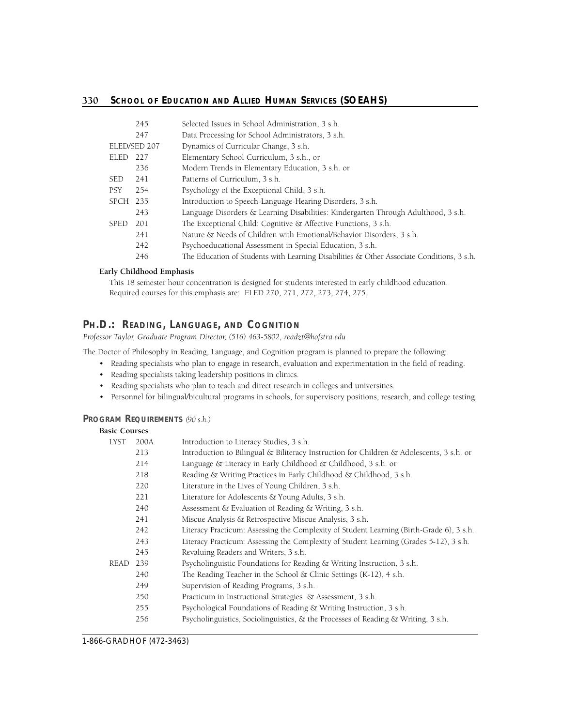|             | 245          | Selected Issues in School Administration, 3 s.h.                                             |
|-------------|--------------|----------------------------------------------------------------------------------------------|
|             | 247          | Data Processing for School Administrators, 3 s.h.                                            |
|             | ELED/SED 207 | Dynamics of Curricular Change, 3 s.h.                                                        |
| ELED        | 227          | Elementary School Curriculum, 3 s.h., or                                                     |
|             | 236          | Modern Trends in Elementary Education, 3 s.h. or                                             |
| <b>SED</b>  | 241          | Patterns of Curriculum, 3 s.h.                                                               |
| <b>PSY</b>  | 254          | Psychology of the Exceptional Child, 3 s.h.                                                  |
| SPCH 235    |              | Introduction to Speech-Language-Hearing Disorders, 3 s.h.                                    |
|             | 243          | Language Disorders & Learning Disabilities: Kindergarten Through Adulthood, 3 s.h.           |
| <b>SPED</b> | 201          | The Exceptional Child: Cognitive & Affective Functions, 3 s.h.                               |
|             | 241          | Nature & Needs of Children with Emotional/Behavior Disorders, 3 s.h.                         |
|             | 242          | Psychoeducational Assessment in Special Education, 3 s.h.                                    |
|             | 246          | The Education of Students with Learning Disabilities $\&$ Other Associate Conditions, 3 s.h. |
|             |              |                                                                                              |

#### **Early Childhood Emphasis**

This 18 semester hour concentration is designed for students interested in early childhood education. Required courses for this emphasis are: ELED 270, 271, 272, 273, 274, 275.

# Ph.D.: Reading, Language, and Cognition

Professor Taylor, Graduate Program Director, (516) 463-5802, readzt@hofstra.edu

The Doctor of Philosophy in Reading, Language, and Cognition program is planned to prepare the following:

- Reading specialists who plan to engage in research, evaluation and experimentation in the field of reading.
- Reading specialists taking leadership positions in clinics.
- Reading specialists who plan to teach and direct research in colleges and universities.
- Personnel for bilingual/bicultural programs in schools, for supervisory positions, research, and college testing.

#### **PROGRAM REQUIREMENTS** *(90 s.h.)*

## **Basic Courses**

| <b>LYST</b> | 200A | Introduction to Literacy Studies, 3 s.h.                                                 |
|-------------|------|------------------------------------------------------------------------------------------|
|             | 213  | Introduction to Bilingual & Biliteracy Instruction for Children & Adolescents, 3 s.h. or |
|             | 214  | Language & Literacy in Early Childhood & Childhood, 3 s.h. or                            |
|             | 218  | Reading & Writing Practices in Early Childhood & Childhood, 3 s.h.                       |
|             | 220  | Literature in the Lives of Young Children, 3 s.h.                                        |
|             | 221  | Literature for Adolescents & Young Adults, 3 s.h.                                        |
|             | 240  | Assessment & Evaluation of Reading & Writing, 3 s.h.                                     |
|             | 241  | Miscue Analysis & Retrospective Miscue Analysis, 3 s.h.                                  |
|             | 242  | Literacy Practicum: Assessing the Complexity of Student Learning (Birth-Grade 6), 3 s.h. |
|             | 243  | Literacy Practicum: Assessing the Complexity of Student Learning (Grades 5-12), 3 s.h.   |
|             | 245  | Revaluing Readers and Writers, 3 s.h.                                                    |
| READ        | 239  | Psycholinguistic Foundations for Reading & Writing Instruction, 3 s.h.                   |
|             | 240  | The Reading Teacher in the School $\&$ Clinic Settings (K-12), 4 s.h.                    |
|             | 249  | Supervision of Reading Programs, 3 s.h.                                                  |
|             | 250  | Practicum in Instructional Strategies & Assessment, 3 s.h.                               |
|             | 255  | Psychological Foundations of Reading & Writing Instruction, 3 s.h.                       |
|             | 256  | Psycholinguistics, Sociolinguistics, $\&$ the Processes of Reading $\&$ Writing, 3 s.h.  |
|             |      |                                                                                          |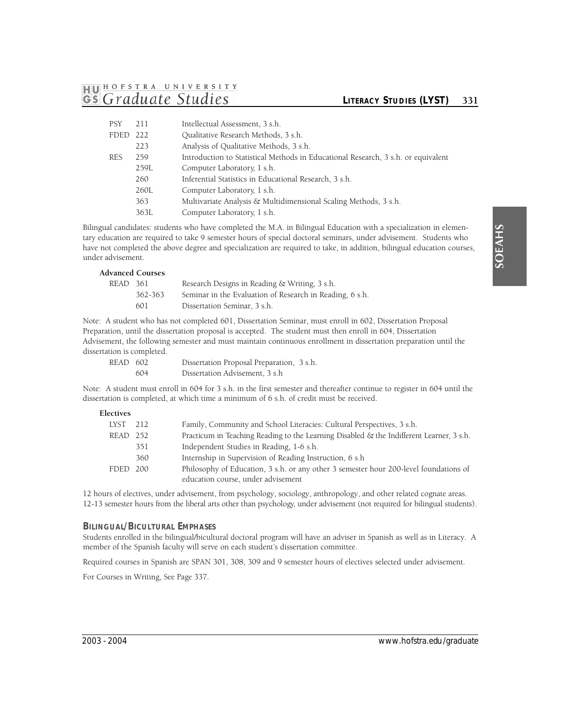# **1HJ01 HOFSTRA UNIVER <sup>S</sup> ITY**  *GS Graduate Studies* **LITERACY STUDIES (LYST)** 331

| <b>PSY</b>  | 211  | Intellectual Assessment, 3 s.h.                                                   |
|-------------|------|-----------------------------------------------------------------------------------|
| <b>FDED</b> | 222  | Oualitative Research Methods, 3 s.h.                                              |
|             | 223  | Analysis of Qualitative Methods, 3 s.h.                                           |
| <b>RES</b>  | 259  | Introduction to Statistical Methods in Educational Research, 3 s.h. or equivalent |
|             | 259L | Computer Laboratory, 1 s.h.                                                       |
|             | 260  | Inferential Statistics in Educational Research, 3 s.h.                            |
|             | 260L | Computer Laboratory, 1 s.h.                                                       |
|             | 363  | Multivariate Analysis & Multidimensional Scaling Methods, 3 s.h.                  |
|             | 363L | Computer Laboratory, 1 s.h.                                                       |

Bilingual candidates: students who have completed the M.A. in Bilingual Education with a specialization in elementary education are required to take 9 semester hours of special doctoral seminars, under advisement. Students who have not completed the above degree and specialization are required to take, in addition, bilingual education courses, under advisement.

# **Advanced Courses**

| READ 361 |         | Research Designs in Reading & Writing, 3 s.h.            |
|----------|---------|----------------------------------------------------------|
|          | 362-363 | Seminar in the Evaluation of Research in Reading, 6 s.h. |
|          | 601     | Dissertation Seminar, 3 s.h.                             |

Note: A student who has not completed 601, Dissertation Seminar, must enroll in 602, Dissertation Proposal Preparation, until the dissertation proposal is accepted. The student must then enroll in 604, Dissertation Advisement, the following semester and must maintain continuous enrollment in dissertation preparation until the dissertation is completed.

| READ 602 |     | Dissertation Proposal Preparation, 3 s.h. |
|----------|-----|-------------------------------------------|
|          | 604 | Dissertation Advisement, 3 s.h.           |

Note: A student must enroll in 604 for 3 s.h. in the first semester and thereafter continue to register in 604 until the dissertation is completed, at which time a minimum of 6 s.h. of credit must be received.

#### **Electives**

| LYST     | 212 | Family, Community and School Literacies: Cultural Perspectives, 3 s.h.                                                      |
|----------|-----|-----------------------------------------------------------------------------------------------------------------------------|
| READ 252 |     | Practicum in Teaching Reading to the Learning Disabled & the Indifferent Learner, 3 s.h.                                    |
|          | 351 | Independent Studies in Reading, 1-6 s.h.                                                                                    |
|          | 360 | Internship in Supervision of Reading Instruction, 6 s.h.                                                                    |
| FDED 200 |     | Philosophy of Education, 3 s.h. or any other 3 semester hour 200-level foundations of<br>education course, under advisement |

12-13 semester hours from the liberal arts other than psychology, under advisement (not required for bilingual students). 12 hours of electives, under advisement, from psychology, sociology, anthropology, and other related cognate areas.

#### **BILINGUAL/BICULTURAL EMPHASES**

Students enrolled in the bilingual/bicultural doctoral program will have an adviser in Spanish as well as in Literacy. A member of the Spanish faculty will serve on each student's dissertation committee.

Required courses in Spanish are SPAN 301, 308, 309 and 9 semester hours of electives selected under advisement.

For Courses in Writing, See Page 337.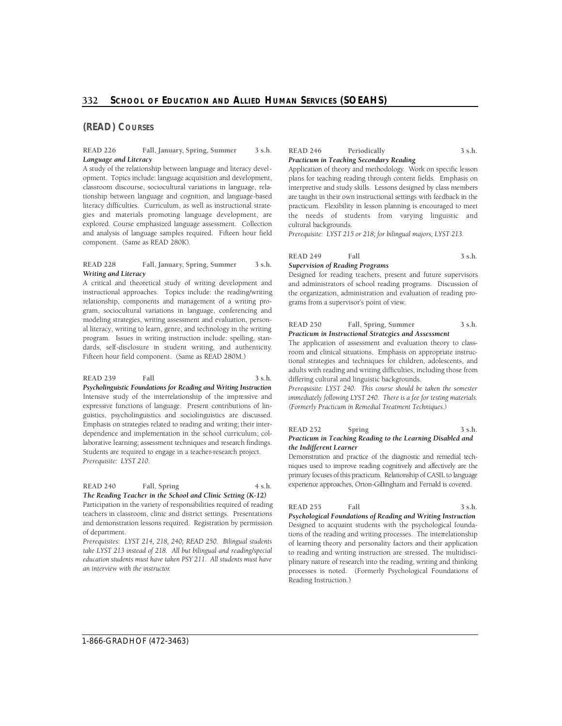## **(READ) COURSES**

#### **READ 226 Fall, January, Spring, Summer 3 s.h.**  *Language and Literacy*

 gies and materials promoting language development, are A study of the relationship between language and literacy development. Topics include: language acquisition and development, classroom discourse, sociocultural variations in language, relationship between language and cognition, and language-based literacy difficulties. Curriculum, as well as instructional strateexplored. Course emphasized language assessment. Collection and analysis of language samples required. Fifteen hour field component. (Same as READ 280K).

#### **READ 228 Fall, January, Spring, Summer 3 s.h.**  *Writing and Literacy*

A critical and theoretical study of writing development and instructional approaches. Topics include: the reading/writing relationship, components and management of a writing program, sociocultural variations in language, conferencing and modeling strategies, writing assessment and evaluation, personal literacy, writing to learn, genre, and technology in the writing program. Issues in writing instruction include: spelling, standards, self-disclosure in student writing, and authenticity. Fifteen hour field component. (Same as READ 280M.)

 *Psycholinguistic Foundations for Reading and Writing Instruction*  Intensive study of the interrelationship of the impressive and expressive functions of language. Present contributions of lin-**READ 239** Fall 3 s.h. guistics, psycholinguistics and sociolinguistics are discussed. Emphasis on strategies related to reading and writing; their interdependence and implementation in the school curriculum; collaborative learning; assessment techniques and research findings. Students are required to engage in a teacher-research project. *Prerequisite: LYST 210.* 

READ 240 Fall, Spring 4 s.h. *The Reading Teacher in the School and Clinic Setting (K-12)*  Participation in the variety of responsibilities required of reading teachers in classroom, clinic and district settings. Presentations and demonstration lessons required. Registration by permission of department.

*Prerequisites: LYST 214, 218, 240; READ 250. Bilingual students take LYST 213 instead of 218. All but bilingual and reading/special education students must have taken PSY 211. All students must have an interview with the instructor.* 

#### **READ 246 Periodically 3 s.h.**  *Practicum in Teaching Secondary Reading*

 Application of theory and methodology. Work on specific lesson plans for teaching reading through content fields. Emphasis on the needs of students from varying linguistic and interpretive and study skills. Lessons designed by class members are taught in their own instructional settings with feedback in the practicum. Flexibility in lesson planning is encouraged to meet cultural backgrounds.

*Prerequisite: LYST 215 or 218; for bilingual majors, LYST 213.* 

# **READ 249** Fall 3 s.h.

# *Supervision of Reading Programs*

Designed for reading teachers, present and future supervisors and administrators of school reading programs. Discussion of the organization, administration and evaluation of reading programs from a supervisor's point of view.

#### **READ 250 Fall, Spring, Summer 3 s.h.**  *Practicum in Instructional Strategies and Assessment*

The application of assessment and evaluation theory to classroom and clinical situations. Emphasis on appropriate instructional strategies and techniques for children, adolescents, and adults with reading and writing difficulties, including those from differing cultural and linguistic backgrounds.

*Prerequisite: LYST 240. This course should be taken the semester immediately following LYST 240. There is a fee for testing materials. (Formerly Practicum in Remedial Treatment Techniques.)* 

#### READ 252 Spring 3 s.h. *Practicum in Teaching Reading to the Learning Disabled and the Indifferent Learner*

 Demonstration and practice of the diagnostic and remedial tech- niques used to improve reading cognitively and affectively are the primary focuses of this practicum. Relationship of CASIL to language experience approaches, Orton-Gillingham and Fernald is covered.

#### **READ 255 Fall 3 s.h.**

*Psychological Foundations of Reading and Writing Instruction*  Designed to acquaint students with the psychological foundations of the reading and writing processes. The interrelationship of learning theory and personality factors and their application to reading and writing instruction are stressed. The multidisciplinary nature of research into the reading, writing and thinking processes is noted. (Formerly Psychological Foundations of Reading Instruction.)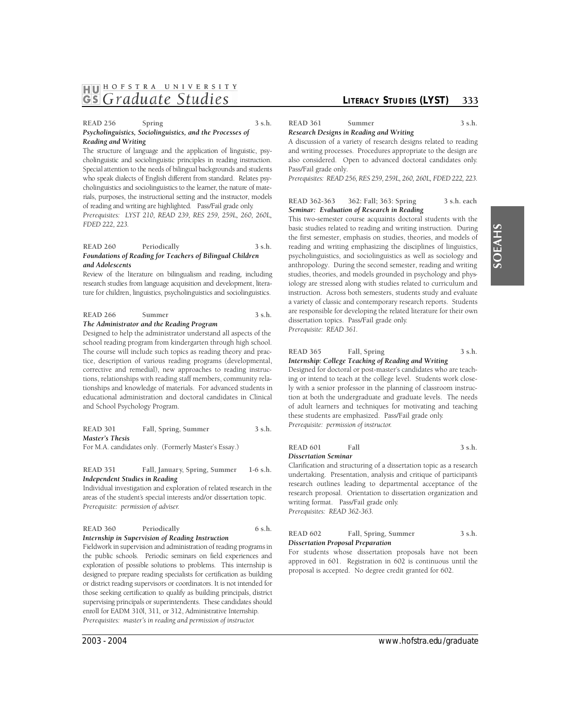# **1HJ01 HOFSTRA UNIVER <sup>S</sup> ITY GS** Graduate Studies *CITERACY STUDIES* (LYST) 333

#### READ 256 Spring 3 s.h. *Psycholinguistics, Sociolinguistics, and the Processes of Reading and Writing*

The structure of language and the application of linguistic, psycholinguistic and sociolinguistic principles in reading instruction. Special attention to the needs of bilingual backgrounds and students who speak dialects of English different from standard. Relates psycholinguistics and sociolinguistics to the learner, the nature of materials, purposes, the instructional setting and the instructor, models of reading and writing are highlighted. Pass/Fail grade only. *Prerequisites: LYST 210, READ 239, RES 259, 259L, 260, 260L, FDED 222, 223.* 

#### **READ 260 Periodically 3 s.h.**  *Foundations of Reading for Teachers of Bilingual Children and Adolescents*

 Review of the literature on bilingualism and reading, including ture for children, linguistics, psycholinguistics and sociolinguistics. research studies from language acquisition and development, litera-

#### READ 266 Summer 3 s.h. *The Administrator and the Reading Program*

#### Designed to help the administrator understand all aspects of the school reading program from kindergarten through high school. The course will include such topics as reading theory and practice, description of various reading programs (developmental, corrective and remedial), new approaches to reading instructions, relationships with reading staff members, community relationships and knowledge of materials. For advanced students in educational administration and doctoral candidates in Clinical and School Psychology Program.

**READ 301 Fall, Spring, Summer 3 s.h.**  *Master's Thesis* 

For M.A. candidates only. (Formerly Master's Essay.)

**READ 351 Fall, January, Spring, Summer 1-6 s.h.**  *Independent Studies in Reading* 

Individual investigation and exploration of related research in the areas of the student's special interests and/or dissertation topic. *Prerequisite: permission of adviser.* 

| <b>READ 360</b> | Periodically                                     | $6$ s.h. |
|-----------------|--------------------------------------------------|----------|
|                 | Internship in Supervision of Reading Instruction |          |

 Fieldwork in supervision and administration of reading programs in the public schools. Periodic seminars on field experiences and exploration of possible solutions to problems. This internship is designed to prepare reading specialists for certification as building those seeking certification to qualify as building principals, district enroll for EADM 310l, 311, or 312, Administrative Internship. or district reading supervisors or coordinators. It is not intended for supervising principals or superintendents. These candidates should *Prerequisites: master's in reading and permission of instructor.* 

READ 361 Summer 3 s.h.

*Research Designs in Reading and Writing* 

A discussion of a variety of research designs related to reading and writing processes. Procedures appropriate to the design are also considered. Open to advanced doctoral candidates only. Pass/Fail grade only.

 *P re requisites: READ 256, RES 259, 259L, 260, 260L, FDED 222, 223.* 

#### **READ 362-363 362: Fall; 363: Spring 3 s.h. each**  *Seminar: Evaluation of Research in Reading*

This two-semester course acquaints doctoral students with the basic studies related to reading and writing instruction. During the first semester, emphasis on studies, theories, and models of reading and writing emphasizing the disciplines of linguistics, psycholinguistics, and sociolinguistics as well as sociology and anthropology. During the second semester, reading and writing studies, theories, and models grounded in psychology and physiology are stressed along with studies related to curriculum and instruction. Across both semesters, students study and evaluate a variety of classic and contemporary research reports. Students are responsible for developing the related literature for their own dissertation topics. Pass/Fail grade only. *Prerequisite: READ 361.* 

# READ 365 Fall, Spring 3 s.h.

*Internship: College Teaching of Reading and Writing*  Designed for doctoral or post-master's candidates who are teaching or intend to teach at the college level. Students work closely with a senior professor in the planning of classroom instruction at both the undergraduate and graduate levels. The needs of adult learners and techniques for motivating and teaching these students are emphasized. Pass/Fail grade only. *Prerequisite: permission of instructor.* 

#### **READ 601** Fall 3 s.h. *Dissertation Seminar*

Clarification and structuring of a dissertation topic as a research undertaking. Presentation, analysis and critique of participant's research outlines leading to departmental acceptance of the research proposal. Orientation to dissertation organization and writing format. Pass/Fail grade only. *Prerequisites: READ 362-363.* 

| <b>READ 602</b> | Fall, Spring, Summer              | 3 s.h. |
|-----------------|-----------------------------------|--------|
|                 | Dissertation Proposal Preparation |        |

For students whose dissertation proposals have not been approved in 601. Registration in 602 is continuous until the proposal is accepted. No degree credit granted for 602.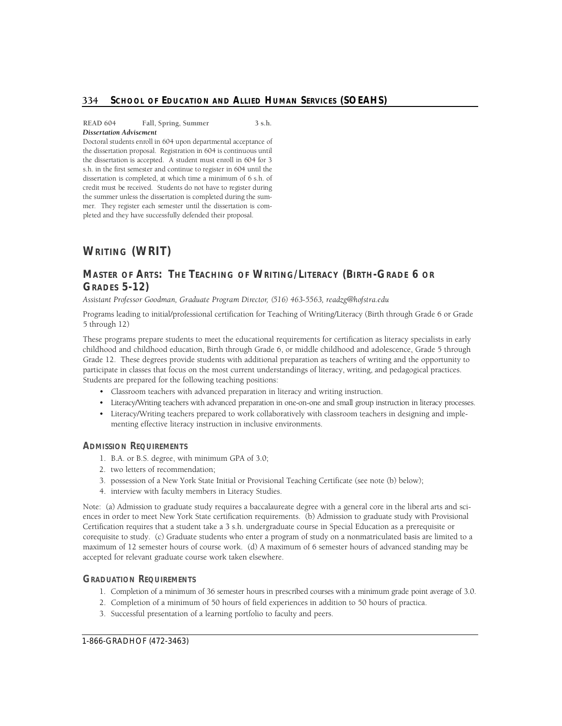**READ 604 Fall, Spring, Summer 3 s.h.**  *Dissertation Advisement* 

 the dissertation is accepted. A student must enroll in 604 for 3 s.h. in the first semester and continue to register in 604 until the dissertation is completed, at which time a minimum of 6 s.h. of credit must be received. Students do not have to register during mer. They register each semester until the dissertation is completed and they have successfully defended their proposal. Doctoral students enroll in 604 upon departmental acceptance of the dissertation proposal. Registration in 604 is continuous until the summer unless the dissertation is completed during the sum-

# **WRITING (WRIT)**

# Master of Arts: The Teaching of Writing/Literacy (Birth-Grade 6 or **GRADES 5-12)**

 *Assistant Professor Goodman, Graduate Program Dire c t o r, (516) 463-5563, readzg@hofstra.edu* 

Programs leading to initial/professional certification for Teaching of Writing/Literacy (Birth through Grade 6 or Grade 5 through 12)

These programs prepare students to meet the educational requirements for certification as literacy specialists in early childhood and childhood education, Birth through Grade 6, or middle childhood and adolescence, Grade 5 through Grade 12. These degrees provide students with additional preparation as teachers of writing and the opportunity to participate in classes that focus on the most current understandings of literacy, writing, and pedagogical practices. Students are prepared for the following teaching positions:

- Classroom teachers with advanced preparation in literacy and writing instruction.
- Literacy/Writing teachers with advanced preparation in one-on-one and small group instruction in literacy processes.
- Literacy/Writing teachers prepared to work collaboratively with classroom teachers in designing and implementing effective literacy instruction in inclusive environments.

#### **ADMISSION REQUIREMENTS**

- 1. B.A. or B.S. degree, with minimum GPA of 3.0;
- 2. two letters of recommendation;
- 3. possession of a New York State Initial or Provisional Teaching Certificate (see note (b) below);
- 4. interview with faculty members in Literacy Studies.

Note: (a) Admission to graduate study requires a baccalaureate degree with a general core in the liberal arts and sciences in order to meet New York State certification requirements. (b) Admission to graduate study with Provisional Certification requires that a student take a 3 s.h. undergraduate course in Special Education as a prerequisite or corequisite to study. (c) Graduate students who enter a program of study on a nonmatriculated basis are limited to a maximum of 12 semester hours of course work. (d) A maximum of 6 semester hours of advanced standing may be accepted for relevant graduate course work taken elsewhere.

#### **GRADUATION REQUIREMENTS**

- 1. Completion of a minimum of 36 semester hours in prescribed courses with a minimum grade point average of 3.0.
- 2. Completion of a minimum of 50 hours of field experiences in addition to 50 hours of practica.
- 3. Successful presentation of a learning portfolio to faculty and peers.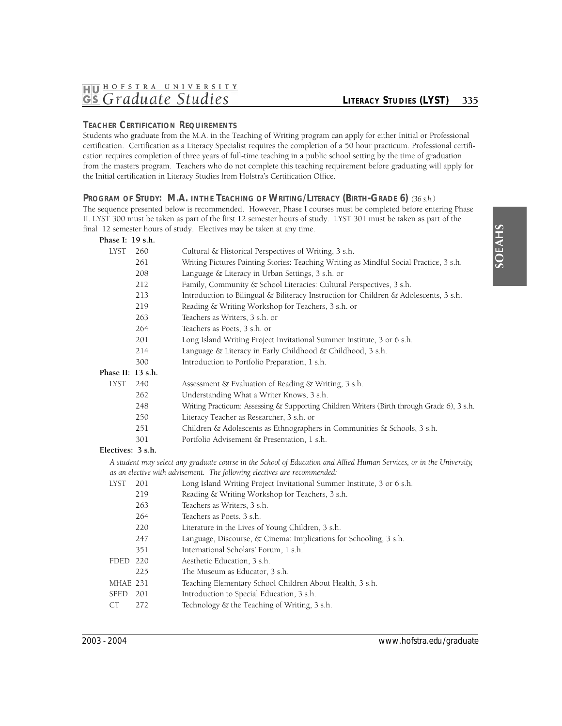# **TEACHER CERTIFICATION REQUIREMENTS**

Students who graduate from the M.A. in the Teaching of Writing program can apply for either Initial or Professional certification. Certification as a Literacy Specialist requires the completion of a 50 hour practicum. Professional certification requires completion of three years of full-time teaching in a public school setting by the time of graduation from the masters program. Teachers who do not complete this teaching requirement before graduating will apply for the Initial certification in Literacy Studies from Hofstra's Certification Office.

# Program of Study: M.A. inthe Teaching of Writing/Literacy (Birth-Grade 6) (36 s.h.)

The sequence presented below is recommended. However, Phase I courses must be completed before entering Phase II. LYST 300 must be taken as part of the first 12 semester hours of study. LYST 301 must be taken as part of the final 12 semester hours of study. Electives may be taken at any time.

| Phase I: 19 s.h.  |     |                                                                                                                      |
|-------------------|-----|----------------------------------------------------------------------------------------------------------------------|
| <b>LYST</b>       | 260 | Cultural & Historical Perspectives of Writing, 3 s.h.                                                                |
|                   | 261 | Writing Pictures Painting Stories: Teaching Writing as Mindful Social Practice, 3 s.h.                               |
|                   | 208 | Language & Literacy in Urban Settings, 3 s.h. or                                                                     |
|                   | 212 | Family, Community & School Literacies: Cultural Perspectives, 3 s.h.                                                 |
|                   | 213 | Introduction to Bilingual & Biliteracy Instruction for Children & Adolescents, 3 s.h.                                |
|                   | 219 | Reading & Writing Workshop for Teachers, 3 s.h. or                                                                   |
|                   | 263 | Teachers as Writers, 3 s.h. or                                                                                       |
|                   | 264 | Teachers as Poets, 3 s.h. or                                                                                         |
|                   | 201 | Long Island Writing Project Invitational Summer Institute, 3 or 6 s.h.                                               |
|                   | 214 | Language & Literacy in Early Childhood & Childhood, 3 s.h.                                                           |
|                   | 300 | Introduction to Portfolio Preparation, 1 s.h.                                                                        |
| Phase II: 13 s.h. |     |                                                                                                                      |
| <b>LYST</b>       | 240 | Assessment & Evaluation of Reading & Writing, 3 s.h.                                                                 |
|                   | 262 | Understanding What a Writer Knows, 3 s.h.                                                                            |
|                   | 248 | Writing Practicum: Assessing & Supporting Children Writers (Birth through Grade 6), 3 s.h.                           |
|                   | 250 | Literacy Teacher as Researcher, 3 s.h. or                                                                            |
|                   | 251 | Children & Adolescents as Ethnographers in Communities & Schools, 3 s.h.                                             |
|                   | 301 | Portfolio Advisement & Presentation, 1 s.h.                                                                          |
| Electives: 3 s.h. |     |                                                                                                                      |
|                   |     | A student may select any graduate course in the School of Education and Allied Human Services, or in the University, |
|                   |     | as an elective with advisement. The following electives are recommended:                                             |
| <b>LYST</b>       | 201 | Long Island Writing Project Invitational Summer Institute, 3 or 6 s.h.                                               |
|                   | 219 | Reading & Writing Workshop for Teachers, 3 s.h.                                                                      |
|                   | 263 | Teachers as Writers, 3 s.h.                                                                                          |
|                   | 264 | Teachers as Poets, 3 s.h.                                                                                            |
|                   | 220 | Literature in the Lives of Young Children, 3 s.h.                                                                    |
|                   | 247 | Language, Discourse, & Cinema: Implications for Schooling, 3 s.h.                                                    |
|                   | 351 | International Scholars' Forum, 1 s.h.                                                                                |
| <b>FDED</b>       | 220 | Aesthetic Education, 3 s.h.                                                                                          |
|                   | 225 | The Museum as Educator, 3 s.h.                                                                                       |
| MHAE 231          |     | Teaching Elementary School Children About Health, 3 s.h.                                                             |
| <b>SPED</b>       | 201 | Introduction to Special Education, 3 s.h.                                                                            |
| <b>CT</b>         | 272 | Technology & the Teaching of Writing, 3 s.h.                                                                         |
|                   |     |                                                                                                                      |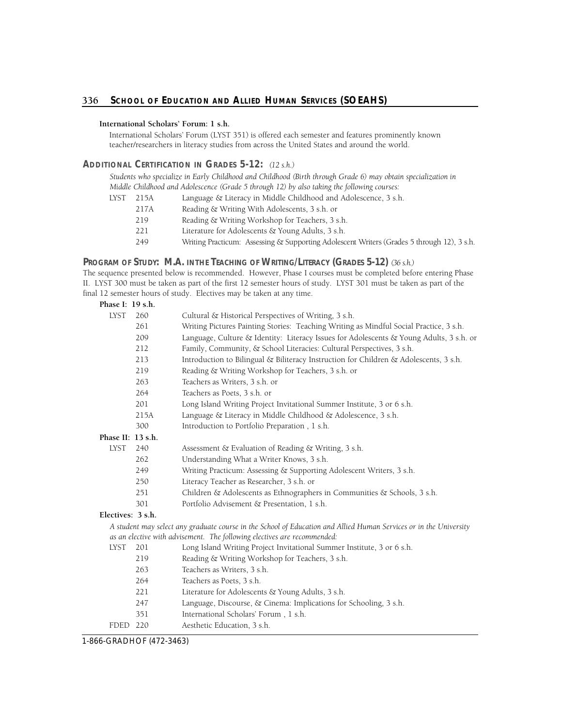#### **International Scholars' Forum: 1 s.h.**

International Scholars' Forum (LYST 351) is offered each semester and features prominently known teacher/researchers in literacy studies from across the United States and around the world.

## **ADDITIONAL CERTIFICATION IN GRADES 5-12:** *(12 s.h.)*

*Students who specialize in Early Childhood and Childhood (Birth through Grade 6) may obtain specialization in Middle Childhood and Adolescence (Grade 5 through 12) by also taking the following courses:* 

- LYST 215A Language & Literacy in Middle Childhood and Adolescence, 3 s.h.
	- 217A Reading & Writing With Adolescents, 3 s.h. or
		- 219 Reading & Writing Workshop for Teachers, 3 s.h.
		- 221 Literature for Adolescents & Young Adults, 3 s.h.
		- 249 Writing Practicum: Assessing & Supporting Adolescent Writers (Grades 5 through 12), 3 s.h.

# **Program of Study: M.A. inthe Teaching of Writing/Literacy (Grades 5-12)** (36 s.h.)

The sequence presented below is recommended. However, Phase I courses must be completed before entering Phase II. LYST 300 must be taken as part of the first 12 semester hours of study. LYST 301 must be taken as part of the final 12 semester hours of study. Electives may be taken at any time.

| Phase I: 19 s.h.  |      |                                                                                                                    |
|-------------------|------|--------------------------------------------------------------------------------------------------------------------|
| <b>LYST</b>       | 260  | Cultural & Historical Perspectives of Writing, 3 s.h.                                                              |
|                   | 261  | Writing Pictures Painting Stories: Teaching Writing as Mindful Social Practice, 3 s.h.                             |
|                   | 209  | Language, Culture & Identity: Literacy Issues for Adolescents & Young Adults, 3 s.h. or                            |
|                   | 212  | Family, Community, & School Literacies: Cultural Perspectives, 3 s.h.                                              |
|                   | 213  | Introduction to Bilingual & Biliteracy Instruction for Children & Adolescents, 3 s.h.                              |
|                   | 219  | Reading & Writing Workshop for Teachers, 3 s.h. or                                                                 |
|                   | 263  | Teachers as Writers, 3 s.h. or                                                                                     |
|                   | 264  | Teachers as Poets, 3 s.h. or                                                                                       |
|                   | 201  | Long Island Writing Project Invitational Summer Institute, 3 or 6 s.h.                                             |
|                   | 215A | Language & Literacy in Middle Childhood & Adolescence, 3 s.h.                                                      |
|                   | 300  | Introduction to Portfolio Preparation, 1 s.h.                                                                      |
| Phase II: 13 s.h. |      |                                                                                                                    |
| <b>LYST</b>       | 240  | Assessment & Evaluation of Reading & Writing, 3 s.h.                                                               |
|                   | 262  | Understanding What a Writer Knows, 3 s.h.                                                                          |
|                   | 249  | Writing Practicum: Assessing & Supporting Adolescent Writers, 3 s.h.                                               |
|                   | 250  | Literacy Teacher as Researcher, 3 s.h. or                                                                          |
|                   | 251  | Children & Adolescents as Ethnographers in Communities & Schools, 3 s.h.                                           |
|                   | 301  | Portfolio Advisement & Presentation, 1 s.h.                                                                        |
| Electives: 3 s.h. |      |                                                                                                                    |
|                   |      | A student may select any graduate course in the School of Education and Allied Human Services or in the University |
|                   |      | as an elective with advisement. The following electives are recommended:                                           |
| LYST              | 201  | Long Island Writing Project Invitational Summer Institute, 3 or 6 s.h.                                             |
|                   | 219  | Reading & Writing Workshop for Teachers, 3 s.h.                                                                    |
|                   | 263  | Teachers as Writers, 3 s.h.                                                                                        |
|                   | 264  | Teachers as Poets, 3 s.h.                                                                                          |
|                   | 221  | Literature for Adolescents & Young Adults, 3 s.h.                                                                  |
|                   | 247  | Language, Discourse, & Cinema: Implications for Schooling, 3 s.h.                                                  |
|                   | 351  | International Scholars' Forum, 1 s.h.                                                                              |
| <b>FDED</b>       | 220  | Aesthetic Education, 3 s.h.                                                                                        |

1-866-GRADHOF (472-3463)